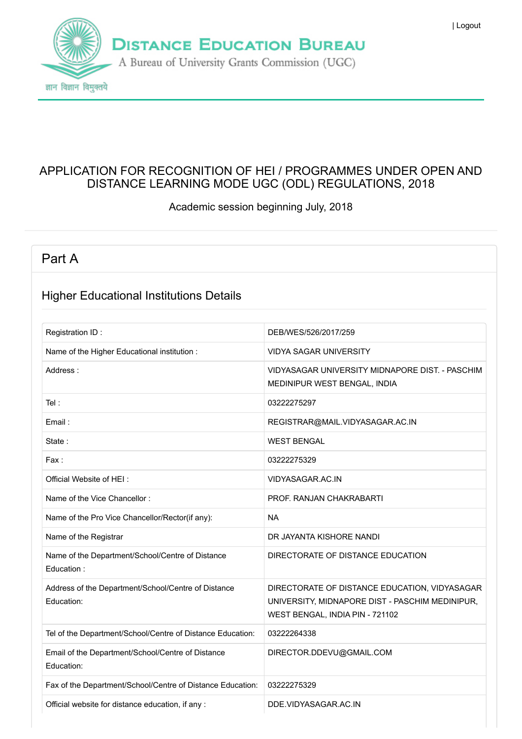

#### APPLICATION FOR RECOGNITION OF HEI / PROGRAMMES UNDER OPEN AND DISTANCE LEARNING MODE UGC (ODL) REGULATIONS, 2018

Academic session beginning July, 2018

### Part A

#### Higher Educational Institutions Details

| Registration ID:                                                  | DEB/WES/526/2017/259                                                                                                                |
|-------------------------------------------------------------------|-------------------------------------------------------------------------------------------------------------------------------------|
| Name of the Higher Educational institution :                      | <b>VIDYA SAGAR UNIVERSITY</b>                                                                                                       |
| Address:                                                          | VIDYASAGAR UNIVERSITY MIDNAPORE DIST. - PASCHIM<br>MEDINIPUR WEST BENGAL, INDIA                                                     |
| Tel:                                                              | 03222275297                                                                                                                         |
| Email:                                                            | REGISTRAR@MAIL.VIDYASAGAR.AC.IN                                                                                                     |
| State:                                                            | <b>WEST BENGAL</b>                                                                                                                  |
| Fax:                                                              | 03222275329                                                                                                                         |
| Official Website of HEI:                                          | VIDYASAGAR.AC.IN                                                                                                                    |
| Name of the Vice Chancellor:                                      | PROF. RANJAN CHAKRABARTI                                                                                                            |
| Name of the Pro Vice Chancellor/Rector(if any):                   | <b>NA</b>                                                                                                                           |
| Name of the Registrar                                             | DR JAYANTA KISHORE NANDI                                                                                                            |
| Name of the Department/School/Centre of Distance<br>Education:    | DIRECTORATE OF DISTANCE EDUCATION                                                                                                   |
| Address of the Department/School/Centre of Distance<br>Education: | DIRECTORATE OF DISTANCE EDUCATION, VIDYASAGAR<br>UNIVERSITY, MIDNAPORE DIST - PASCHIM MEDINIPUR,<br>WEST BENGAL, INDIA PIN - 721102 |
| Tel of the Department/School/Centre of Distance Education:        | 03222264338                                                                                                                         |
| Email of the Department/School/Centre of Distance<br>Education:   | DIRECTOR.DDEVU@GMAIL.COM                                                                                                            |
| Fax of the Department/School/Centre of Distance Education:        | 03222275329                                                                                                                         |
| Official website for distance education, if any :                 | DDE.VIDYASAGAR.AC.IN                                                                                                                |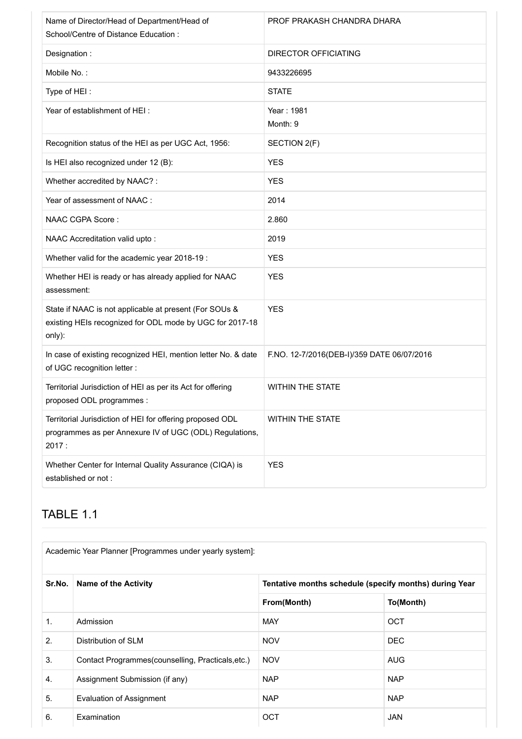| Name of Director/Head of Department/Head of<br>School/Centre of Distance Education :                                          | PROF PRAKASH CHANDRA DHARA                 |
|-------------------------------------------------------------------------------------------------------------------------------|--------------------------------------------|
| Designation:                                                                                                                  | <b>DIRECTOR OFFICIATING</b>                |
| Mobile No.:                                                                                                                   | 9433226695                                 |
| Type of HEI:                                                                                                                  | <b>STATE</b>                               |
| Year of establishment of HEI:                                                                                                 | Year: 1981<br>Month: 9                     |
| Recognition status of the HEI as per UGC Act, 1956:                                                                           | SECTION 2(F)                               |
| Is HEI also recognized under 12 (B):                                                                                          | <b>YES</b>                                 |
| Whether accredited by NAAC?:                                                                                                  | <b>YES</b>                                 |
| Year of assessment of NAAC :                                                                                                  | 2014                                       |
| NAAC CGPA Score:                                                                                                              | 2.860                                      |
| NAAC Accreditation valid upto:                                                                                                | 2019                                       |
| Whether valid for the academic year 2018-19 :                                                                                 | <b>YES</b>                                 |
| Whether HEI is ready or has already applied for NAAC<br>assessment:                                                           | <b>YES</b>                                 |
| State if NAAC is not applicable at present (For SOUs &<br>existing HEIs recognized for ODL mode by UGC for 2017-18<br>only):  | <b>YES</b>                                 |
| In case of existing recognized HEI, mention letter No. & date<br>of UGC recognition letter :                                  | F.NO. 12-7/2016(DEB-I)/359 DATE 06/07/2016 |
| Territorial Jurisdiction of HEI as per its Act for offering<br>proposed ODL programmes :                                      | <b>WITHIN THE STATE</b>                    |
| Territorial Jurisdiction of HEI for offering proposed ODL<br>programmes as per Annexure IV of UGC (ODL) Regulations,<br>2017: | <b>WITHIN THE STATE</b>                    |
| Whether Center for Internal Quality Assurance (CIQA) is<br>established or not:                                                | <b>YES</b>                                 |

### TABLE 1.1

| Sr.No.           | Name of the Activity                               |             | Tentative months schedule (specify months) during Year |
|------------------|----------------------------------------------------|-------------|--------------------------------------------------------|
|                  |                                                    | From(Month) | To(Month)                                              |
| 1.               | Admission                                          | <b>MAY</b>  | <b>OCT</b>                                             |
| 2.               | Distribution of SLM                                | <b>NOV</b>  | <b>DEC</b>                                             |
| 3.               | Contact Programmes (counselling, Practicals, etc.) | <b>NOV</b>  | <b>AUG</b>                                             |
| $\overline{4}$ . | Assignment Submission (if any)                     | <b>NAP</b>  | <b>NAP</b>                                             |
| 5.               | <b>Evaluation of Assignment</b>                    | <b>NAP</b>  | <b>NAP</b>                                             |
| 6.               | Examination                                        | <b>OCT</b>  | <b>JAN</b>                                             |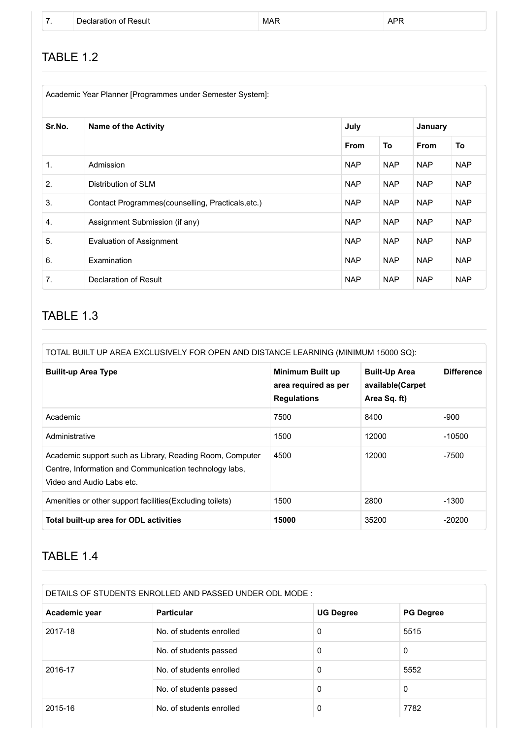|  | Declaration of Result | <b>MAR</b> | <b>APF</b> |
|--|-----------------------|------------|------------|
|  |                       |            |            |

### TABLE 1.2

| Academic Year Planner [Programmes under Semester System]: |                                                    |             |            |             |            |  |  |
|-----------------------------------------------------------|----------------------------------------------------|-------------|------------|-------------|------------|--|--|
| Sr.No.                                                    | <b>Name of the Activity</b>                        |             | July       |             | January    |  |  |
|                                                           |                                                    | <b>From</b> | To         | <b>From</b> | To         |  |  |
| $\mathbf{1}$ .                                            | Admission                                          | <b>NAP</b>  | <b>NAP</b> | <b>NAP</b>  | <b>NAP</b> |  |  |
| 2.                                                        | Distribution of SLM                                | <b>NAP</b>  | <b>NAP</b> | <b>NAP</b>  | <b>NAP</b> |  |  |
| 3.                                                        | Contact Programmes (counselling, Practicals, etc.) | <b>NAP</b>  | <b>NAP</b> | <b>NAP</b>  | <b>NAP</b> |  |  |
| 4.                                                        | Assignment Submission (if any)                     | <b>NAP</b>  | <b>NAP</b> | <b>NAP</b>  | <b>NAP</b> |  |  |
| 5.                                                        | <b>Evaluation of Assignment</b>                    | <b>NAP</b>  | <b>NAP</b> | <b>NAP</b>  | <b>NAP</b> |  |  |
| 6.                                                        | Examination                                        | <b>NAP</b>  | <b>NAP</b> | <b>NAP</b>  | <b>NAP</b> |  |  |
| 7.                                                        | Declaration of Result                              | <b>NAP</b>  | <b>NAP</b> | <b>NAP</b>  | <b>NAP</b> |  |  |

### TABLE 1.3

| TOTAL BUILT UP AREA EXCLUSIVELY FOR OPEN AND DISTANCE LEARNING (MINIMUM 15000 SQ):                                                              |                                                                       |                                                          |                   |  |  |  |
|-------------------------------------------------------------------------------------------------------------------------------------------------|-----------------------------------------------------------------------|----------------------------------------------------------|-------------------|--|--|--|
| <b>Builit-up Area Type</b>                                                                                                                      | <b>Minimum Built up</b><br>area required as per<br><b>Regulations</b> | <b>Built-Up Area</b><br>available(Carpet<br>Area Sq. ft) | <b>Difference</b> |  |  |  |
| Academic                                                                                                                                        | 7500                                                                  | 8400                                                     | -900              |  |  |  |
| Administrative                                                                                                                                  | 1500                                                                  | 12000                                                    | -10500            |  |  |  |
| Academic support such as Library, Reading Room, Computer<br>Centre, Information and Communication technology labs,<br>Video and Audio Labs etc. | 4500                                                                  | 12000                                                    | -7500             |  |  |  |
| Amenities or other support facilities (Excluding toilets)                                                                                       | 1500                                                                  | 2800                                                     | $-1300$           |  |  |  |
| Total built-up area for ODL activities                                                                                                          | 15000                                                                 | 35200                                                    | $-20200$          |  |  |  |

#### TABLE 1.4

| Academic year | <b>Particular</b>        | <b>UG Degree</b> | <b>PG Degree</b> |
|---------------|--------------------------|------------------|------------------|
| 2017-18       | No. of students enrolled | 0                | 5515             |
|               | No. of students passed   | 0                | 0                |
| 2016-17       | No. of students enrolled | 0                | 5552             |
|               | No. of students passed   | 0                | 0                |
| 2015-16       | No. of students enrolled | 0                | 7782             |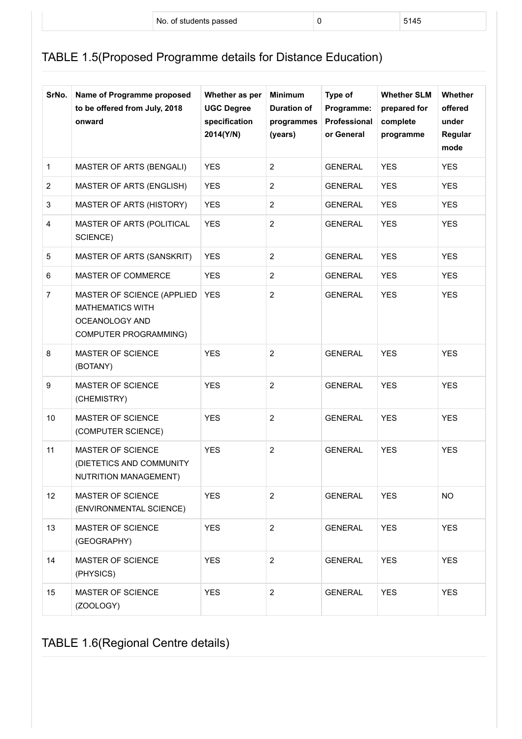|  | No.<br>. of students passed | 145 |
|--|-----------------------------|-----|
|  |                             |     |

## TABLE 1.5(Proposed Programme details for Distance Education)

| SrNo.                   | Name of Programme proposed<br>to be offered from July, 2018<br>onward                                   | Whether as per<br><b>UGC Degree</b><br>specification<br>2014(Y/N) | <b>Minimum</b><br><b>Duration of</b><br>programmes<br>(years) | Type of<br>Programme:<br>Professional<br>or General | <b>Whether SLM</b><br>prepared for<br>complete<br>programme | Whether<br>offered<br>under<br>Regular<br>mode |
|-------------------------|---------------------------------------------------------------------------------------------------------|-------------------------------------------------------------------|---------------------------------------------------------------|-----------------------------------------------------|-------------------------------------------------------------|------------------------------------------------|
| $\mathbf{1}$            | MASTER OF ARTS (BENGALI)                                                                                | <b>YES</b>                                                        | 2                                                             | <b>GENERAL</b>                                      | <b>YES</b>                                                  | <b>YES</b>                                     |
| $\overline{2}$          | <b>MASTER OF ARTS (ENGLISH)</b>                                                                         | <b>YES</b>                                                        | 2                                                             | <b>GENERAL</b>                                      | <b>YES</b>                                                  | <b>YES</b>                                     |
| $\mathsf 3$             | MASTER OF ARTS (HISTORY)                                                                                | <b>YES</b>                                                        | 2                                                             | <b>GENERAL</b>                                      | <b>YES</b>                                                  | <b>YES</b>                                     |
| $\overline{\mathbf{4}}$ | MASTER OF ARTS (POLITICAL<br>SCIENCE)                                                                   | <b>YES</b>                                                        | $\overline{2}$                                                | <b>GENERAL</b>                                      | <b>YES</b>                                                  | <b>YES</b>                                     |
| $\mathbf 5$             | MASTER OF ARTS (SANSKRIT)                                                                               | <b>YES</b>                                                        | 2                                                             | <b>GENERAL</b>                                      | <b>YES</b>                                                  | <b>YES</b>                                     |
| 6                       | MASTER OF COMMERCE                                                                                      | <b>YES</b>                                                        | $\overline{c}$                                                | <b>GENERAL</b>                                      | <b>YES</b>                                                  | <b>YES</b>                                     |
| $\overline{7}$          | MASTER OF SCIENCE (APPLIED<br><b>MATHEMATICS WITH</b><br><b>OCEANOLOGY AND</b><br>COMPUTER PROGRAMMING) | <b>YES</b>                                                        | 2                                                             | <b>GENERAL</b>                                      | <b>YES</b>                                                  | <b>YES</b>                                     |
| 8                       | MASTER OF SCIENCE<br>(BOTANY)                                                                           | <b>YES</b>                                                        | $\overline{c}$                                                | <b>GENERAL</b>                                      | <b>YES</b>                                                  | <b>YES</b>                                     |
| 9                       | MASTER OF SCIENCE<br>(CHEMISTRY)                                                                        | <b>YES</b>                                                        | $\overline{2}$                                                | <b>GENERAL</b>                                      | <b>YES</b>                                                  | <b>YES</b>                                     |
| 10                      | MASTER OF SCIENCE<br>(COMPUTER SCIENCE)                                                                 | <b>YES</b>                                                        | 2                                                             | <b>GENERAL</b>                                      | <b>YES</b>                                                  | <b>YES</b>                                     |
| 11                      | MASTER OF SCIENCE<br>(DIETETICS AND COMMUNITY<br>NUTRITION MANAGEMENT)                                  | <b>YES</b>                                                        | $\overline{2}$                                                | <b>GENERAL</b>                                      | <b>YES</b>                                                  | <b>YES</b>                                     |
| 12                      | MASTER OF SCIENCE<br>(ENVIRONMENTAL SCIENCE)                                                            | <b>YES</b>                                                        | $\overline{2}$                                                | <b>GENERAL</b>                                      | <b>YES</b>                                                  | <b>NO</b>                                      |
| 13                      | MASTER OF SCIENCE<br>(GEOGRAPHY)                                                                        | <b>YES</b>                                                        | $\overline{2}$                                                | <b>GENERAL</b>                                      | <b>YES</b>                                                  | <b>YES</b>                                     |
| 14                      | MASTER OF SCIENCE<br>(PHYSICS)                                                                          | <b>YES</b>                                                        | $\overline{2}$                                                | <b>GENERAL</b>                                      | <b>YES</b>                                                  | <b>YES</b>                                     |
| 15                      | MASTER OF SCIENCE<br>(ZOOLOGY)                                                                          | <b>YES</b>                                                        | $\overline{2}$                                                | <b>GENERAL</b>                                      | <b>YES</b>                                                  | <b>YES</b>                                     |

TABLE 1.6(Regional Centre details)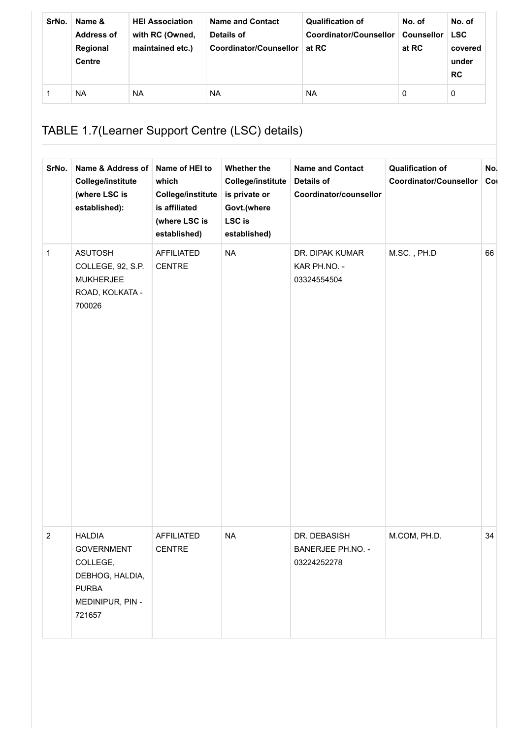| SrNo. | Name &<br><b>Address of</b><br>Regional<br><b>Centre</b> | <b>HEI Association</b><br>with RC (Owned,<br>maintained etc.) | <b>Name and Contact</b><br>Details of<br>Coordinator/Counsellor | <b>Qualification of</b><br>Coordinator/Counsellor<br>at RC | No. of<br><b>Counsellor</b><br>at RC | No. of<br><b>LSC</b><br>covered<br>under<br><b>RC</b> |
|-------|----------------------------------------------------------|---------------------------------------------------------------|-----------------------------------------------------------------|------------------------------------------------------------|--------------------------------------|-------------------------------------------------------|
|       | <b>NA</b>                                                | <b>NA</b>                                                     | <b>NA</b>                                                       | <b>NA</b>                                                  | 0                                    | 0                                                     |

# TABLE 1.7(Learner Support Centre (LSC) details)

| SrNo.            | Name & Address of<br><b>College/institute</b><br>(where LSC is<br>established):                                 | Name of HEI to<br>which<br><b>College/institute</b><br>is affiliated<br>(where LSC is<br>established) | Whether the<br><b>College/institute</b><br>is private or<br>Govt.(where<br>LSC is<br>established) | <b>Name and Contact</b><br><b>Details of</b><br>Coordinator/counsellor | <b>Qualification of</b><br><b>Coordinator/Counsellor</b> | No.<br>Col |
|------------------|-----------------------------------------------------------------------------------------------------------------|-------------------------------------------------------------------------------------------------------|---------------------------------------------------------------------------------------------------|------------------------------------------------------------------------|----------------------------------------------------------|------------|
| $\mathbf{1}$     | <b>ASUTOSH</b><br>COLLEGE, 92, S.P.<br><b>MUKHERJEE</b><br>ROAD, KOLKATA -<br>700026                            | <b>AFFILIATED</b><br><b>CENTRE</b>                                                                    | <b>NA</b>                                                                                         | DR. DIPAK KUMAR<br>KAR PH.NO. -<br>03324554504                         | M.SC., PH.D                                              | 66         |
| $\boldsymbol{2}$ | <b>HALDIA</b><br><b>GOVERNMENT</b><br>COLLEGE,<br>DEBHOG, HALDIA,<br><b>PURBA</b><br>MEDINIPUR, PIN -<br>721657 | <b>AFFILIATED</b><br>CENTRE                                                                           | <b>NA</b>                                                                                         | DR. DEBASISH<br>BANERJEE PH.NO. -<br>03224252278                       | M.COM, PH.D.                                             | 34         |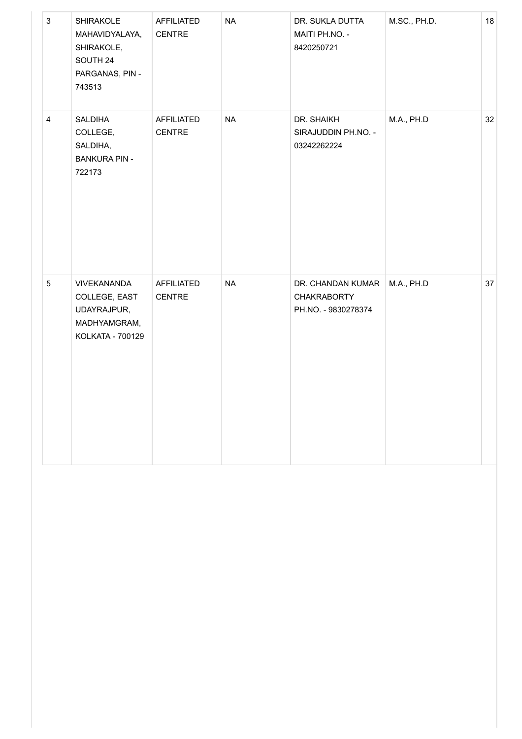| $\mathbf{3}$    | SHIRAKOLE<br>MAHAVIDYALAYA,<br>SHIRAKOLE,<br>SOUTH 24<br>PARGANAS, PIN -<br>743513 | AFFILIATED<br>CENTRE | $\sf NA$  | DR. SUKLA DUTTA<br>MAITI PH.NO. -<br>8420250721                | M.SC., PH.D. | $18\,$ |
|-----------------|------------------------------------------------------------------------------------|----------------------|-----------|----------------------------------------------------------------|--------------|--------|
| $\overline{4}$  | SALDIHA<br>COLLEGE,<br>SALDIHA,<br><b>BANKURA PIN -</b><br>722173                  | AFFILIATED<br>CENTRE | <b>NA</b> | DR. SHAIKH<br>SIRAJUDDIN PH.NO. -<br>03242262224               | M.A., PH.D   | 32     |
| $5\phantom{.0}$ | VIVEKANANDA<br>COLLEGE, EAST<br>UDAYRAJPUR,<br>MADHYAMGRAM,<br>KOLKATA - 700129    | AFFILIATED<br>CENTRE | <b>NA</b> | DR. CHANDAN KUMAR<br><b>CHAKRABORTY</b><br>PH.NO. - 9830278374 | M.A., PH.D   | 37     |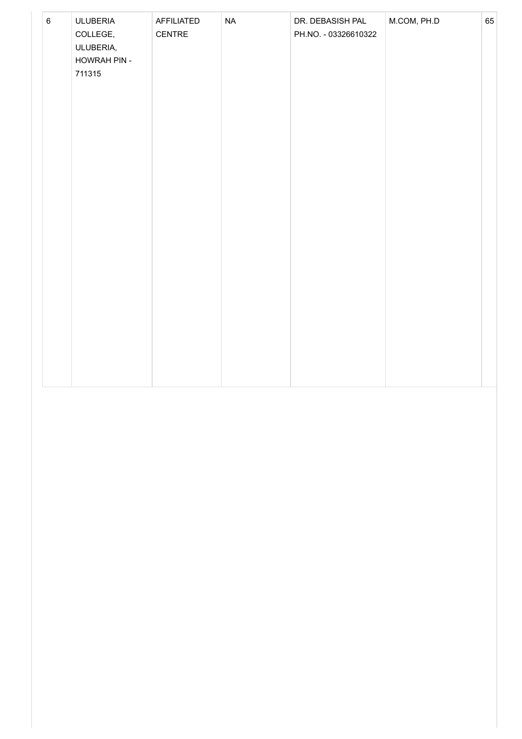| $\,6\,$ | <b>ULUBERIA</b>       | AFFILIATED | $\sf NA$ | DR. DEBASISH PAL     | M.COM, PH.D | 65 |
|---------|-----------------------|------------|----------|----------------------|-------------|----|
|         | COLLEGE,<br>ULUBERIA, | CENTRE     |          | PH.NO. - 03326610322 |             |    |
|         | HOWRAH PIN -          |            |          |                      |             |    |
|         | 711315                |            |          |                      |             |    |
|         |                       |            |          |                      |             |    |
|         |                       |            |          |                      |             |    |
|         |                       |            |          |                      |             |    |
|         |                       |            |          |                      |             |    |
|         |                       |            |          |                      |             |    |
|         |                       |            |          |                      |             |    |
|         |                       |            |          |                      |             |    |
|         |                       |            |          |                      |             |    |
|         |                       |            |          |                      |             |    |
|         |                       |            |          |                      |             |    |
|         |                       |            |          |                      |             |    |
|         |                       |            |          |                      |             |    |
|         |                       |            |          |                      |             |    |
|         |                       |            |          |                      |             |    |
|         |                       |            |          |                      |             |    |
|         |                       |            |          |                      |             |    |
|         |                       |            |          |                      |             |    |
|         |                       |            |          |                      |             |    |
|         |                       |            |          |                      |             |    |
|         |                       |            |          |                      |             |    |
|         |                       |            |          |                      |             |    |
|         |                       |            |          |                      |             |    |
|         |                       |            |          |                      |             |    |
|         |                       |            |          |                      |             |    |
|         |                       |            |          |                      |             |    |
|         |                       |            |          |                      |             |    |
|         |                       |            |          |                      |             |    |
|         |                       |            |          |                      |             |    |
|         |                       |            |          |                      |             |    |
|         |                       |            |          |                      |             |    |
|         |                       |            |          |                      |             |    |
|         |                       |            |          |                      |             |    |
|         |                       |            |          |                      |             |    |
|         |                       |            |          |                      |             |    |
|         |                       |            |          |                      |             |    |
|         |                       |            |          |                      |             |    |
|         |                       |            |          |                      |             |    |
|         |                       |            |          |                      |             |    |
|         |                       |            |          |                      |             |    |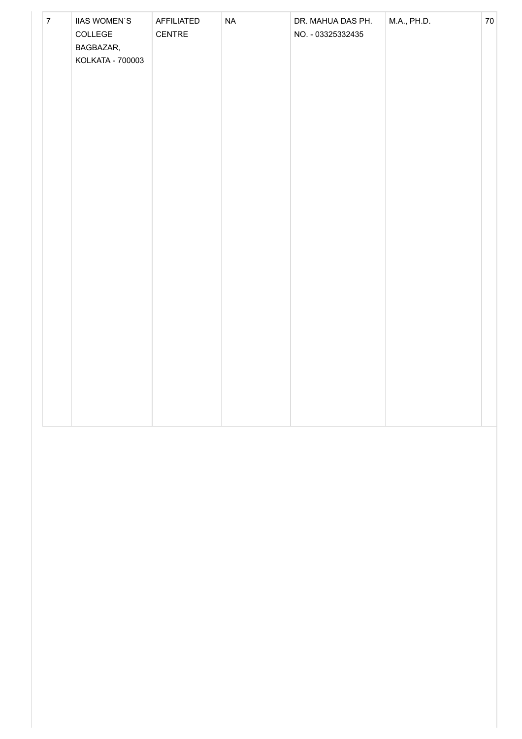| $\overline{7}$ | <b>IIAS WOMEN'S</b><br>COLLEGE<br>BAGBAZAR,<br>KOLKATA - 700003 | AFFILIATED<br>CENTRE | <b>NA</b> | DR. MAHUA DAS PH.<br>NO. - 03325332435 | M.A., PH.D. | 70 |
|----------------|-----------------------------------------------------------------|----------------------|-----------|----------------------------------------|-------------|----|
|                |                                                                 |                      |           |                                        |             |    |
|                |                                                                 |                      |           |                                        |             |    |
|                |                                                                 |                      |           |                                        |             |    |
|                |                                                                 |                      |           |                                        |             |    |
|                |                                                                 |                      |           |                                        |             |    |
|                |                                                                 |                      |           |                                        |             |    |
|                |                                                                 |                      |           |                                        |             |    |
|                |                                                                 |                      |           |                                        |             |    |
|                |                                                                 |                      |           |                                        |             |    |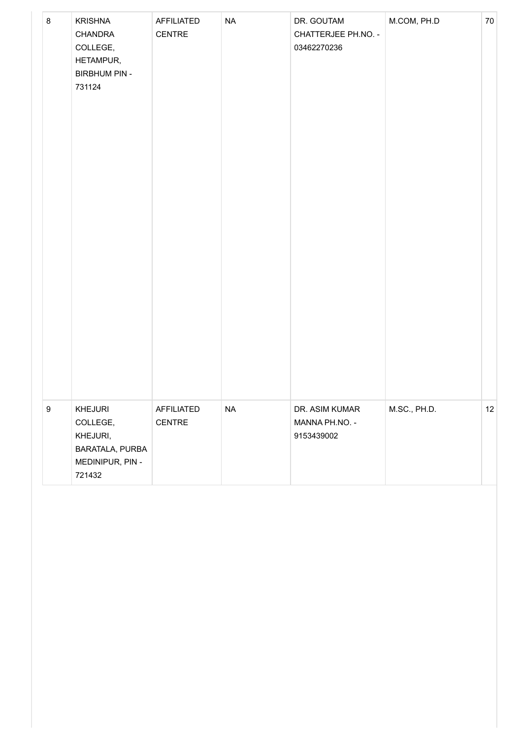| 8                | <b>KRISHNA</b><br>CHANDRA<br>COLLEGE,<br>HETAMPUR,<br><b>BIRBHUM PIN -</b><br>731124 | AFFILIATED<br>CENTRE | $\sf NA$ | DR. GOUTAM<br>CHATTERJEE PH.NO. -<br>03462270236 | M.COM, PH.D  | 70                |
|------------------|--------------------------------------------------------------------------------------|----------------------|----------|--------------------------------------------------|--------------|-------------------|
| $\boldsymbol{9}$ | KHEJURI<br>COLLEGE,<br>KHEJURI,<br>BARATALA, PURBA<br>MEDINIPUR, PIN -<br>721432     | AFFILIATED<br>CENTRE | $\sf NA$ | DR. ASIM KUMAR<br>MANNA PH.NO. -<br>9153439002   | M.SC., PH.D. | $12 \overline{ }$ |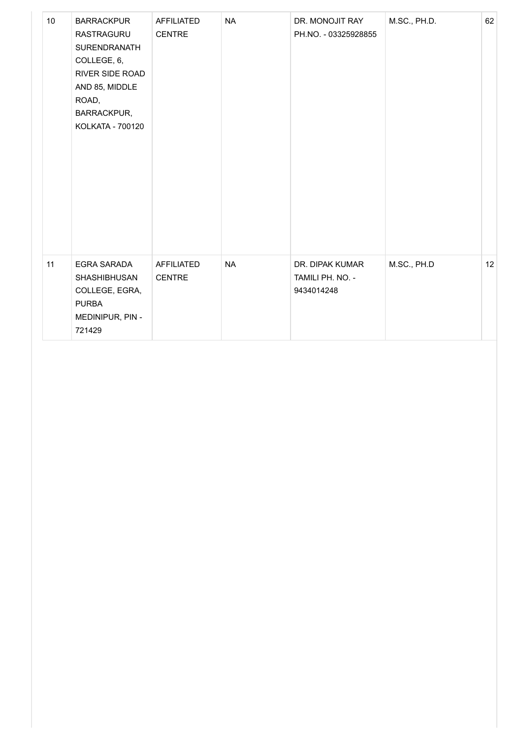| 10 <sup>°</sup> | <b>BARRACKPUR</b><br>RASTRAGURU<br>SURENDRANATH<br>COLLEGE, 6,<br>RIVER SIDE ROAD<br>AND 85, MIDDLE<br>ROAD,<br>BARRACKPUR,<br>KOLKATA - 700120 | <b>AFFILIATED</b><br><b>CENTRE</b> | <b>NA</b> | DR. MONOJIT RAY<br>PH.NO. - 03325928855           | M.SC., PH.D. | 62 |
|-----------------|-------------------------------------------------------------------------------------------------------------------------------------------------|------------------------------------|-----------|---------------------------------------------------|--------------|----|
| 11              | EGRA SARADA<br>SHASHIBHUSAN<br>COLLEGE, EGRA,<br><b>PURBA</b><br>MEDINIPUR, PIN -<br>721429                                                     | <b>AFFILIATED</b><br><b>CENTRE</b> | <b>NA</b> | DR. DIPAK KUMAR<br>TAMILI PH. NO. -<br>9434014248 | M.SC., PH.D  | 12 |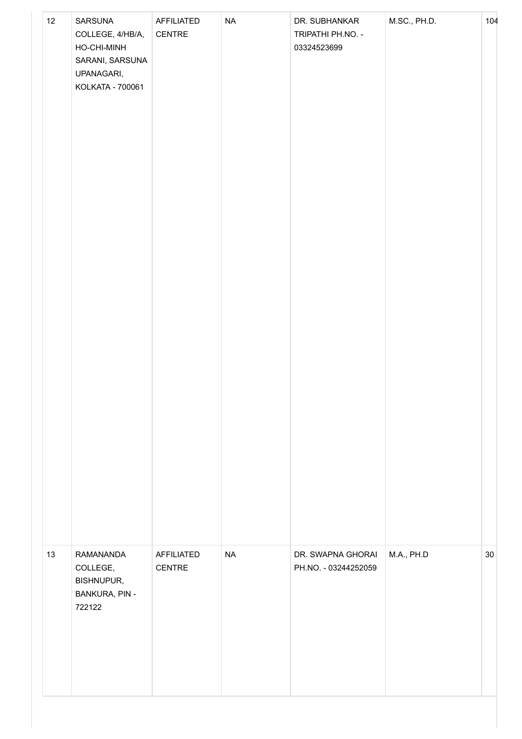| 12<br>SARSUNA<br>COLLEGE, 4/HB/A,<br>HO-CHI-MINH<br>SARANI, SARSUNA<br>UPANAGARI,<br>KOLKATA - 700061 | AFFILIATED<br>CENTRE | $\sf NA$  | DR. SUBHANKAR<br>TRIPATHI PH.NO. -<br>03324523699 | M.SC., PH.D. | 104 |
|-------------------------------------------------------------------------------------------------------|----------------------|-----------|---------------------------------------------------|--------------|-----|
| 13<br>RAMANANDA<br>COLLEGE,<br><b>BISHNUPUR,</b><br><b>BANKURA, PIN -</b><br>722122                   | AFFILIATED<br>CENTRE | <b>NA</b> | DR. SWAPNA GHORAI<br>PH.NO. - 03244252059         | M.A., PH.D   | 30  |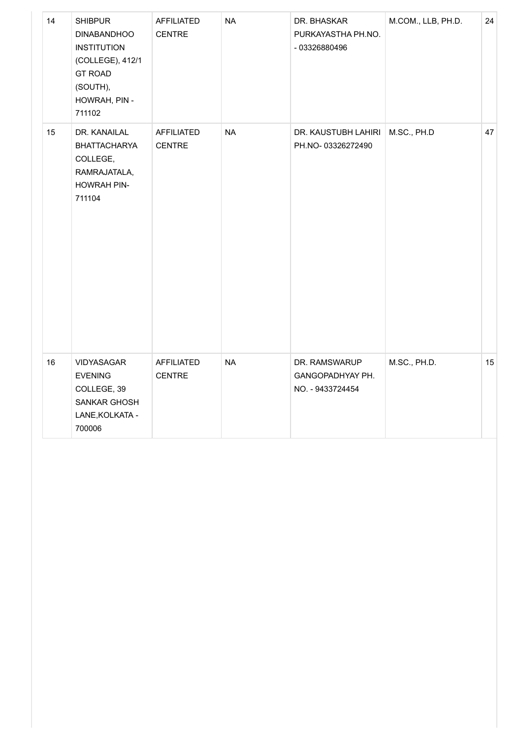| 14 | <b>SHIBPUR</b><br><b>DINABANDHOO</b><br><b>INSTITUTION</b><br>(COLLEGE), 412/1<br><b>GT ROAD</b><br>(SOUTH),<br>HOWRAH, PIN -<br>711102 | AFFILIATED<br><b>CENTRE</b> | <b>NA</b> | DR. BHASKAR<br>PURKAYASTHA PH.NO.<br>- 03326880496    | M.COM., LLB, PH.D. | 24 |
|----|-----------------------------------------------------------------------------------------------------------------------------------------|-----------------------------|-----------|-------------------------------------------------------|--------------------|----|
| 15 | DR. KANAILAL<br><b>BHATTACHARYA</b><br>COLLEGE,<br>RAMRAJATALA,<br>HOWRAH PIN-<br>711104                                                | AFFILIATED<br><b>CENTRE</b> | <b>NA</b> | DR. KAUSTUBH LAHIRI<br>PH.NO-03326272490              | M.SC., PH.D        | 47 |
| 16 | VIDYASAGAR<br><b>EVENING</b><br>COLLEGE, 39<br>SANKAR GHOSH<br>LANE, KOLKATA -<br>700006                                                | AFFILIATED<br><b>CENTRE</b> | <b>NA</b> | DR. RAMSWARUP<br>GANGOPADHYAY PH.<br>NO. - 9433724454 | M.SC., PH.D.       | 15 |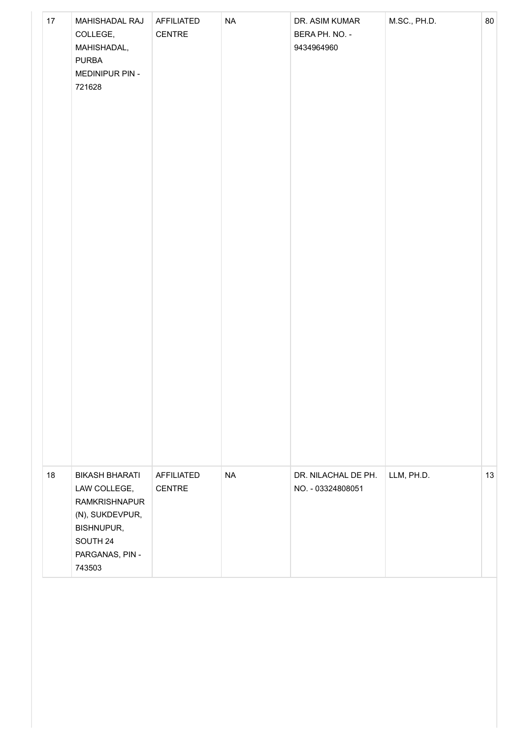| 17 | MAHISHADAL RAJ<br>COLLEGE,<br>MAHISHADAL,<br><b>PURBA</b><br>MEDINIPUR PIN -<br>721628                                                         | AFFILIATED<br>CENTRE | $\sf NA$  | DR. ASIM KUMAR<br>BERA PH. NO. -<br>9434964960 | M.SC., PH.D. | 80 |
|----|------------------------------------------------------------------------------------------------------------------------------------------------|----------------------|-----------|------------------------------------------------|--------------|----|
| 18 | <b>BIKASH BHARATI</b><br>LAW COLLEGE,<br><b>RAMKRISHNAPUR</b><br>(N), SUKDEVPUR,<br><b>BISHNUPUR,</b><br>SOUTH 24<br>PARGANAS, PIN -<br>743503 | AFFILIATED<br>CENTRE | <b>NA</b> | DR. NILACHAL DE PH.<br>NO. - 03324808051       | LLM, PH.D.   | 13 |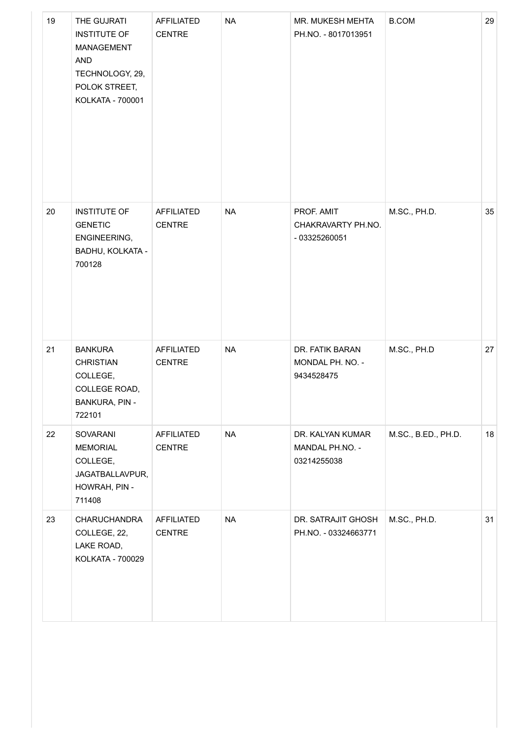| 19 | THE GUJRATI<br><b>INSTITUTE OF</b><br>MANAGEMENT<br>AND<br>TECHNOLOGY, 29,<br>POLOK STREET,<br>KOLKATA - 700001 | AFFILIATED<br><b>CENTRE</b> | <b>NA</b> | MR. MUKESH MEHTA<br>PH.NO. - 8017013951            | <b>B.COM</b>        | 29 |
|----|-----------------------------------------------------------------------------------------------------------------|-----------------------------|-----------|----------------------------------------------------|---------------------|----|
| 20 | <b>INSTITUTE OF</b><br><b>GENETIC</b><br>ENGINEERING,<br>BADHU, KOLKATA -<br>700128                             | AFFILIATED<br><b>CENTRE</b> | <b>NA</b> | PROF. AMIT<br>CHAKRAVARTY PH.NO.<br>- 03325260051  | M.SC., PH.D.        | 35 |
| 21 | <b>BANKURA</b><br><b>CHRISTIAN</b><br>COLLEGE,<br>COLLEGE ROAD,<br><b>BANKURA, PIN -</b><br>722101              | AFFILIATED<br><b>CENTRE</b> | <b>NA</b> | DR. FATIK BARAN<br>MONDAL PH. NO. -<br>9434528475  | M.SC., PH.D         | 27 |
| 22 | SOVARANI<br><b>MEMORIAL</b><br>COLLEGE,<br>JAGATBALLAVPUR,<br>HOWRAH, PIN -<br>711408                           | AFFILIATED<br><b>CENTRE</b> | <b>NA</b> | DR. KALYAN KUMAR<br>MANDAL PH.NO. -<br>03214255038 | M.SC., B.ED., PH.D. | 18 |
| 23 | <b>CHARUCHANDRA</b><br>COLLEGE, 22,<br>LAKE ROAD,<br>KOLKATA - 700029                                           | AFFILIATED<br><b>CENTRE</b> | <b>NA</b> | DR. SATRAJIT GHOSH<br>PH.NO. - 03324663771         | M.SC., PH.D.        | 31 |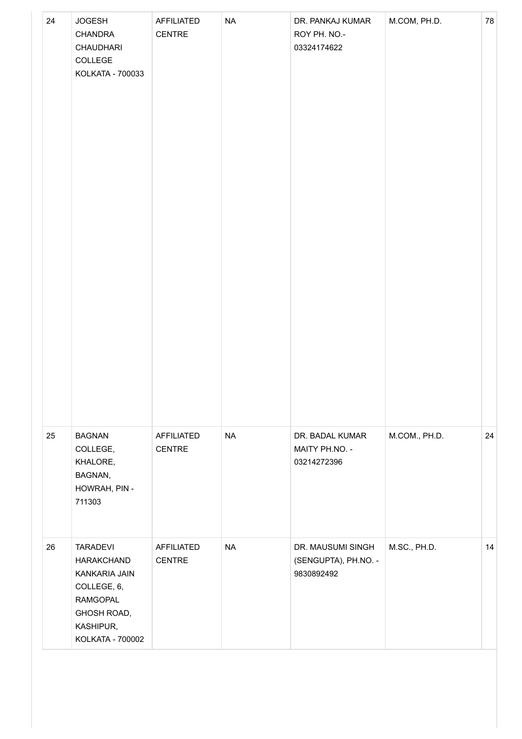| 24 | <b>JOGESH</b><br>CHANDRA<br>CHAUDHARI<br>COLLEGE<br>KOLKATA - 700033                                                                    | AFFILIATED<br>CENTRE        | $\sf NA$  | DR. PANKAJ KUMAR<br>ROY PH. NO.-<br>03324174622         | M.COM, PH.D.  | 78 |
|----|-----------------------------------------------------------------------------------------------------------------------------------------|-----------------------------|-----------|---------------------------------------------------------|---------------|----|
| 25 | <b>BAGNAN</b><br>COLLEGE,<br>KHALORE,<br>BAGNAN,<br>HOWRAH, PIN -<br>711303                                                             | AFFILIATED<br>CENTRE        | <b>NA</b> | DR. BADAL KUMAR<br>MAITY PH.NO. -<br>03214272396        | M.COM., PH.D. | 24 |
| 26 | <b>TARADEVI</b><br>HARAKCHAND<br>KANKARIA JAIN<br>COLLEGE, 6,<br><b>RAMGOPAL</b><br>GHOSH ROAD,<br>KASHIPUR,<br><b>KOLKATA - 700002</b> | AFFILIATED<br><b>CENTRE</b> | <b>NA</b> | DR. MAUSUMI SINGH<br>(SENGUPTA), PH.NO. -<br>9830892492 | M.SC., PH.D.  | 14 |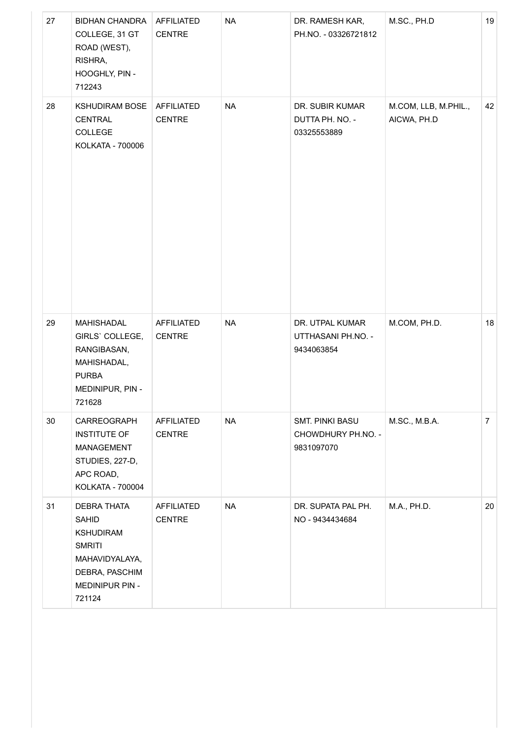| 27 | <b>BIDHAN CHANDRA</b><br>COLLEGE, 31 GT<br>ROAD (WEST),<br>RISHRA,<br>HOOGHLY, PIN -<br>712243                                    | AFFILIATED<br><b>CENTRE</b>        | <b>NA</b> | DR. RAMESH KAR,<br>PH.NO. - 03326721812             | M.SC., PH.D                         | 19             |
|----|-----------------------------------------------------------------------------------------------------------------------------------|------------------------------------|-----------|-----------------------------------------------------|-------------------------------------|----------------|
| 28 | KSHUDIRAM BOSE   AFFILIATED<br>CENTRAL<br>COLLEGE<br>KOLKATA - 700006                                                             | <b>CENTRE</b>                      | <b>NA</b> | DR. SUBIR KUMAR<br>DUTTA PH. NO. -<br>03325553889   | M.COM, LLB, M.PHIL.,<br>AICWA, PH.D | 42             |
| 29 | MAHISHADAL<br>GIRLS' COLLEGE,<br>RANGIBASAN,<br>MAHISHADAL,<br><b>PURBA</b><br>MEDINIPUR, PIN -<br>721628                         | AFFILIATED<br><b>CENTRE</b>        | <b>NA</b> | DR. UTPAL KUMAR<br>UTTHASANI PH.NO. -<br>9434063854 | M.COM, PH.D.                        | 18             |
| 30 | CARREOGRAPH<br><b>INSTITUTE OF</b><br>MANAGEMENT<br>STUDIES, 227-D,<br>APC ROAD,<br>KOLKATA - 700004                              | <b>AFFILIATED</b><br><b>CENTRE</b> | <b>NA</b> | SMT. PINKI BASU<br>CHOWDHURY PH.NO. -<br>9831097070 | M.SC., M.B.A.                       | 7 <sup>7</sup> |
| 31 | <b>DEBRA THATA</b><br>SAHID<br><b>KSHUDIRAM</b><br><b>SMRITI</b><br>MAHAVIDYALAYA,<br>DEBRA, PASCHIM<br>MEDINIPUR PIN -<br>721124 | <b>AFFILIATED</b><br><b>CENTRE</b> | <b>NA</b> | DR. SUPATA PAL PH.<br>NO - 9434434684               | M.A., PH.D.                         | 20             |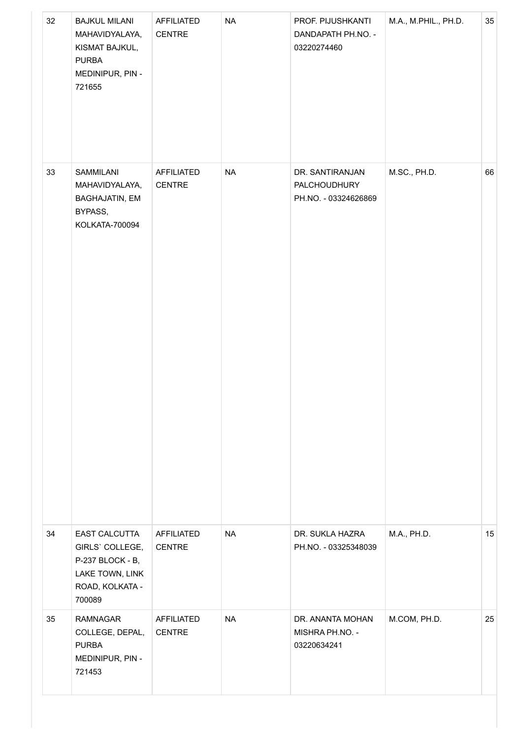| 32 | <b>BAJKUL MILANI</b><br>MAHAVIDYALAYA,<br>KISMAT BAJKUL,<br><b>PURBA</b><br>MEDINIPUR, PIN -<br>721655 | AFFILIATED<br>CENTRE               | <b>NA</b> | PROF. PIJUSHKANTI<br>DANDAPATH PH.NO. -<br>03220274460         | M.A., M.PHIL., PH.D. | 35 |
|----|--------------------------------------------------------------------------------------------------------|------------------------------------|-----------|----------------------------------------------------------------|----------------------|----|
| 33 | SAMMILANI<br>MAHAVIDYALAYA,<br><b>BAGHAJATIN, EM</b><br>BYPASS,<br>KOLKATA-700094                      | AFFILIATED<br>CENTRE               | <b>NA</b> | DR. SANTIRANJAN<br><b>PALCHOUDHURY</b><br>PH.NO. - 03324626869 | M.SC., PH.D.         | 66 |
| 34 | EAST CALCUTTA<br>GIRLS' COLLEGE,<br>P-237 BLOCK - B,<br>LAKE TOWN, LINK<br>ROAD, KOLKATA -<br>700089   | AFFILIATED<br><b>CENTRE</b>        | <b>NA</b> | DR. SUKLA HAZRA<br>PH.NO. - 03325348039                        | M.A., PH.D.          | 15 |
| 35 | <b>RAMNAGAR</b><br>COLLEGE, DEPAL,<br><b>PURBA</b><br>MEDINIPUR, PIN -<br>721453                       | <b>AFFILIATED</b><br><b>CENTRE</b> | <b>NA</b> | DR. ANANTA MOHAN<br>MISHRA PH.NO. -<br>03220634241             | M.COM, PH.D.         | 25 |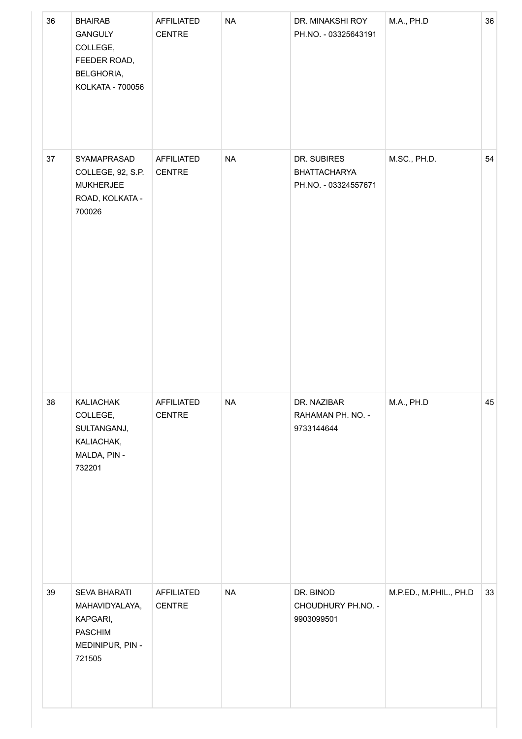| 36 | <b>BHAIRAB</b><br><b>GANGULY</b><br>COLLEGE,<br>FEEDER ROAD,<br>BELGHORIA,<br>KOLKATA - 700056    | AFFILIATED<br>CENTRE               | <b>NA</b> | DR. MINAKSHI ROY<br>PH.NO. - 03325643191                   | M.A., PH.D             | 36 |
|----|---------------------------------------------------------------------------------------------------|------------------------------------|-----------|------------------------------------------------------------|------------------------|----|
| 37 | SYAMAPRASAD<br>COLLEGE, 92, S.P.<br><b>MUKHERJEE</b><br>ROAD, KOLKATA -<br>700026                 | AFFILIATED<br>CENTRE               | <b>NA</b> | DR. SUBIRES<br><b>BHATTACHARYA</b><br>PH.NO. - 03324557671 | M.SC., PH.D.           | 54 |
| 38 | KALIACHAK<br>COLLEGE,<br>SULTANGANJ,<br>KALIACHAK,<br>MALDA, PIN -<br>732201                      | <b>AFFILIATED</b><br><b>CENTRE</b> | <b>NA</b> | DR. NAZIBAR<br>RAHAMAN PH. NO. -<br>9733144644             | M.A., PH.D             | 45 |
| 39 | <b>SEVA BHARATI</b><br>MAHAVIDYALAYA,<br>KAPGARI,<br><b>PASCHIM</b><br>MEDINIPUR, PIN -<br>721505 | AFFILIATED<br>CENTRE               | <b>NA</b> | DR. BINOD<br>CHOUDHURY PH.NO. -<br>9903099501              | M.P.ED., M.PHIL., PH.D | 33 |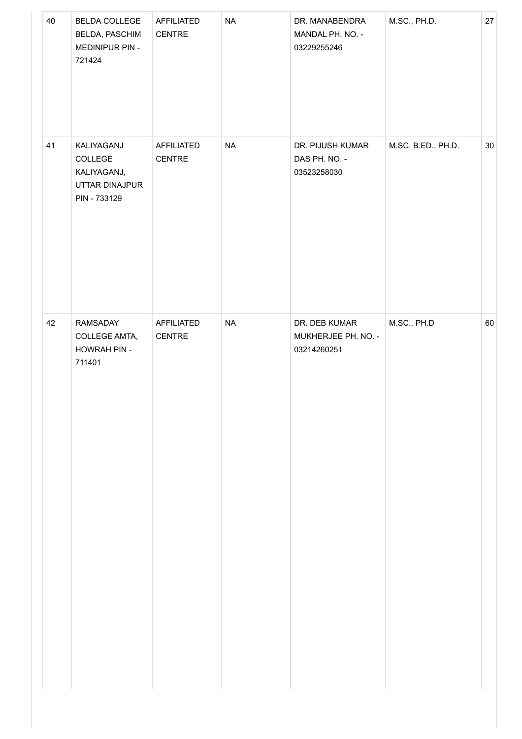| <b>NA</b><br>41<br>KALIYAGANJ<br>AFFILIATED<br>DR. PIJUSH KUMAR<br>COLLEGE<br>CENTRE<br>DAS PH. NO. -<br>KALIYAGANJ,<br>03523258030<br>UTTAR DINAJPUR<br>PIN - 733129 | M.SC, B.ED., PH.D. | $30\,$ |
|-----------------------------------------------------------------------------------------------------------------------------------------------------------------------|--------------------|--------|
|                                                                                                                                                                       |                    |        |
| <b>NA</b><br>42<br>RAMSADAY<br>AFFILIATED<br>DR. DEB KUMAR<br>CENTRE<br>MUKHERJEE PH. NO. -<br>COLLEGE AMTA,<br>HOWRAH PIN -<br>03214260251<br>711401                 | M.SC., PH.D        | 60     |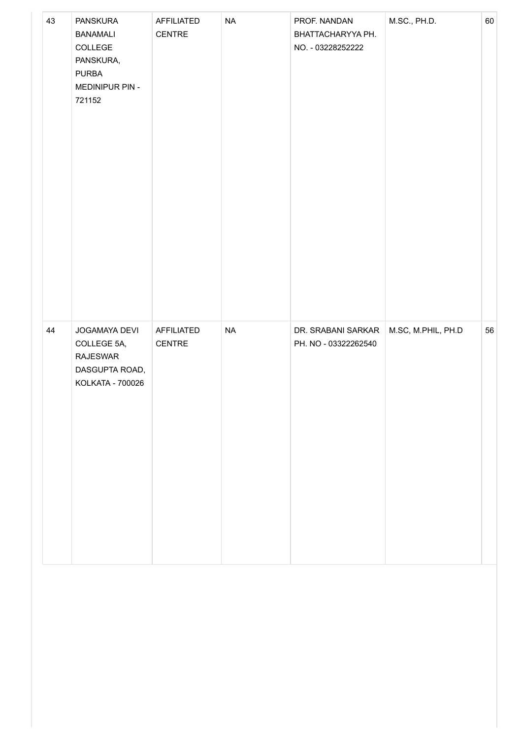| 43 | PANSKURA<br><b>BANAMALI</b><br>COLLEGE<br>PANSKURA,<br><b>PURBA</b><br>MEDINIPUR PIN -<br>721152 | AFFILIATED<br>CENTRE        | $\sf NA$ | PROF. NANDAN<br>BHATTACHARYYA PH.<br>NO. - 03228252222 | M.SC., PH.D.       | 60 |
|----|--------------------------------------------------------------------------------------------------|-----------------------------|----------|--------------------------------------------------------|--------------------|----|
| 44 | JOGAMAYA DEVI<br>COLLEGE 5A,<br><b>RAJESWAR</b><br>DASGUPTA ROAD,<br>KOLKATA - 700026            | <b>AFFILIATED</b><br>CENTRE | $\sf NA$ | DR. SRABANI SARKAR<br>PH. NO - 03322262540             | M.SC, M.PHIL, PH.D | 56 |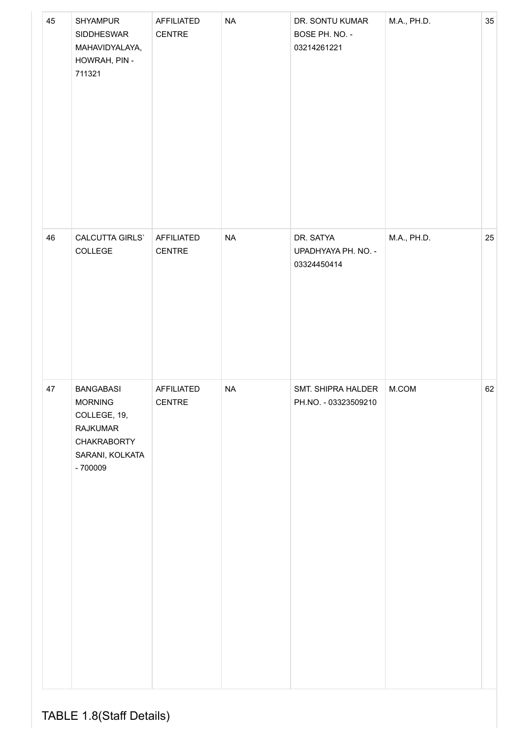| 45 | SHYAMPUR<br>SIDDHESWAR<br>MAHAVIDYALAYA,<br>HOWRAH, PIN -<br>711321                                                         | <b>AFFILIATED</b><br>CENTRE | $\sf NA$  | DR. SONTU KUMAR<br>BOSE PH. NO. -<br>03214261221 | M.A., PH.D. | 35 |
|----|-----------------------------------------------------------------------------------------------------------------------------|-----------------------------|-----------|--------------------------------------------------|-------------|----|
| 46 | CALCUTTA GIRLS`<br>COLLEGE                                                                                                  | AFFILIATED<br>CENTRE        | <b>NA</b> | DR. SATYA<br>UPADHYAYA PH. NO. -<br>03324450414  | M.A., PH.D. | 25 |
| 47 | <b>BANGABASI</b><br><b>MORNING</b><br>COLLEGE, 19,<br><b>RAJKUMAR</b><br><b>CHAKRABORTY</b><br>SARANI, KOLKATA<br>$-700009$ | AFFILIATED<br><b>CENTRE</b> | $\sf NA$  | SMT. SHIPRA HALDER<br>PH.NO. - 03323509210       | M.COM       | 62 |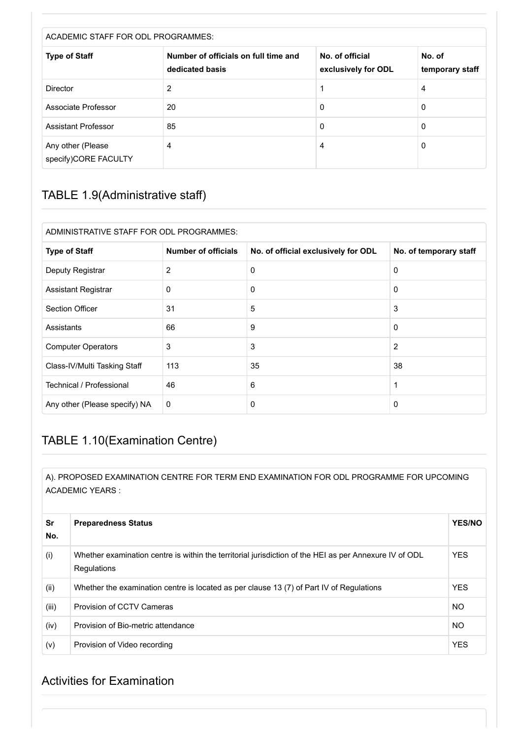| ACADEMIC STAFF FOR ODL PROGRAMMES:        |                                                         |                                        |                           |  |
|-------------------------------------------|---------------------------------------------------------|----------------------------------------|---------------------------|--|
| <b>Type of Staff</b>                      | Number of officials on full time and<br>dedicated basis | No. of official<br>exclusively for ODL | No. of<br>temporary staff |  |
| <b>Director</b>                           | 2                                                       |                                        | 4                         |  |
| Associate Professor                       | 20                                                      | 0                                      | 0                         |  |
| Assistant Professor                       | 85                                                      | 0                                      | 0                         |  |
| Any other (Please<br>specify)CORE FACULTY | 4                                                       | 4                                      | 0                         |  |

### TABLE 1.9(Administrative staff)

| ADMINISTRATIVE STAFF FOR ODL PROGRAMMES: |                            |                                     |                        |
|------------------------------------------|----------------------------|-------------------------------------|------------------------|
| <b>Type of Staff</b>                     | <b>Number of officials</b> | No. of official exclusively for ODL | No. of temporary staff |
| Deputy Registrar                         | 2                          | 0                                   | 0                      |
| <b>Assistant Registrar</b>               | $\Omega$                   | $\Omega$                            | $\Omega$               |
| <b>Section Officer</b>                   | 31                         | 5                                   | 3                      |
| Assistants                               | 66                         | 9                                   | 0                      |
| <b>Computer Operators</b>                | 3                          | 3                                   | 2                      |
| Class-IV/Multi Tasking Staff             | 113                        | 35                                  | 38                     |
| Technical / Professional                 | 46                         | 6                                   | 1                      |
| Any other (Please specify) NA            | $\mathbf 0$                | $\mathbf{0}$                        | 0                      |

### TABLE 1.10(Examination Centre)

A). PROPOSED EXAMINATION CENTRE FOR TERM END EXAMINATION FOR ODL PROGRAMME FOR UPCOMING ACADEMIC YEARS :

| Sr<br>No. | <b>Preparedness Status</b>                                                                                            | <b>YES/NO</b> |
|-----------|-----------------------------------------------------------------------------------------------------------------------|---------------|
| (i)       | Whether examination centre is within the territorial jurisdiction of the HEI as per Annexure IV of ODL<br>Regulations | <b>YES</b>    |
| (ii)      | Whether the examination centre is located as per clause 13 (7) of Part IV of Regulations                              | <b>YES</b>    |
| (iii)     | <b>Provision of CCTV Cameras</b>                                                                                      | <b>NO</b>     |
| (iv)      | Provision of Bio-metric attendance                                                                                    | <b>NO</b>     |
| (v)       | Provision of Video recording                                                                                          | <b>YES</b>    |

#### Activities for Examination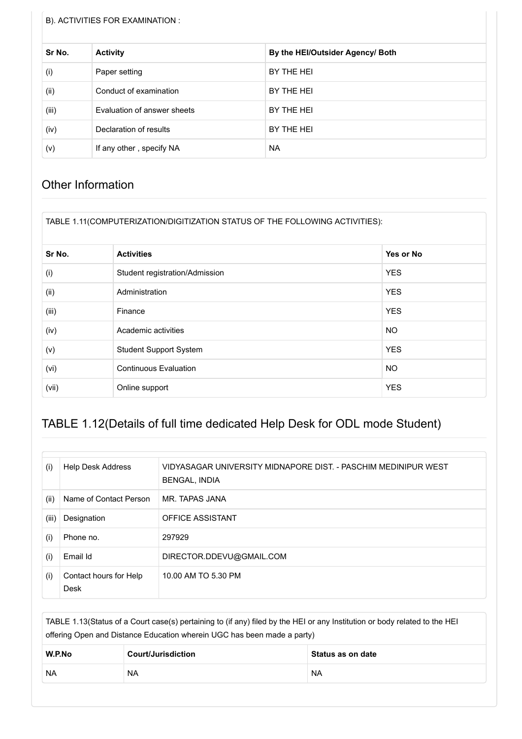#### B). ACTIVITIES FOR EXAMINATION :

| Sr No. | <b>Activity</b>             | By the HEI/Outsider Agency/ Both |
|--------|-----------------------------|----------------------------------|
| (i)    | Paper setting               | BY THE HEI                       |
| (ii)   | Conduct of examination      | BY THE HEI                       |
| (iii)  | Evaluation of answer sheets | BY THE HEI                       |
| (iv)   | Declaration of results      | BY THE HEI                       |
| (v)    | If any other, specify NA    | <b>NA</b>                        |

#### Other Information

| TABLE 1.11(COMPUTERIZATION/DIGITIZATION STATUS OF THE FOLLOWING ACTIVITIES): |
|------------------------------------------------------------------------------|
|------------------------------------------------------------------------------|

| Sr No. | <b>Activities</b>              | Yes or No  |
|--------|--------------------------------|------------|
| (i)    | Student registration/Admission | <b>YES</b> |
| (ii)   | Administration                 | <b>YES</b> |
| (iii)  | Finance                        | <b>YES</b> |
| (iv)   | Academic activities            | <b>NO</b>  |
| (v)    | <b>Student Support System</b>  | <b>YES</b> |
| (vi)   | <b>Continuous Evaluation</b>   | <b>NO</b>  |
| (vii)  | Online support                 | <b>YES</b> |

### TABLE 1.12(Details of full time dedicated Help Desk for ODL mode Student)

| (i)   | <b>Help Desk Address</b>       | VIDYASAGAR UNIVERSITY MIDNAPORE DIST. - PASCHIM MEDINIPUR WEST<br><b>BENGAL, INDIA</b> |
|-------|--------------------------------|----------------------------------------------------------------------------------------|
| (ii)  | Name of Contact Person         | MR. TAPAS JANA                                                                         |
| (iii) | Designation                    | <b>OFFICE ASSISTANT</b>                                                                |
| (i)   | Phone no.                      | 297929                                                                                 |
| (i)   | Email Id                       | DIRECTOR.DDEVU@GMAIL.COM                                                               |
| (i)   | Contact hours for Help<br>Desk | 10.00 AM TO 5.30 PM                                                                    |

TABLE 1.13(Status of a Court case(s) pertaining to (if any) filed by the HEI or any Institution or body related to the HEI offering Open and Distance Education wherein UGC has been made a party)

| W.P.No    | <b>Court/Jurisdiction</b> | ∣ Status as on date |
|-----------|---------------------------|---------------------|
| <b>NA</b> | <b>NA</b>                 | <b>NA</b>           |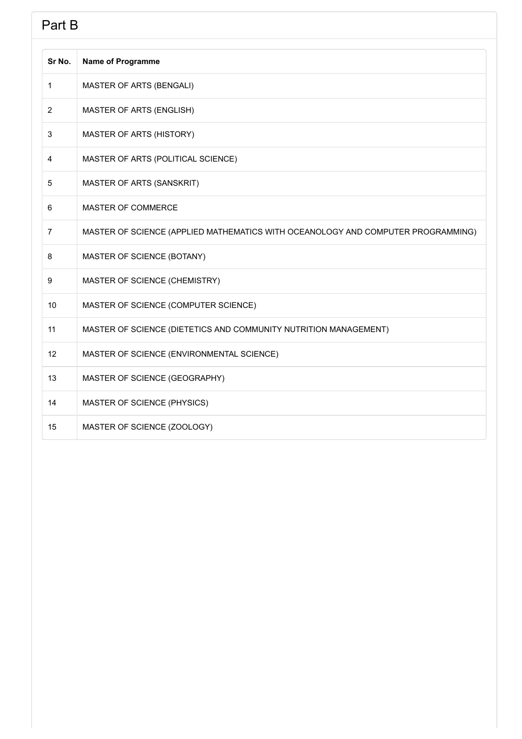# **Part B**

| Sr No.         | <b>Name of Programme</b>                                                         |
|----------------|----------------------------------------------------------------------------------|
| 1              | MASTER OF ARTS (BENGALI)                                                         |
| $\overline{2}$ | MASTER OF ARTS (ENGLISH)                                                         |
| 3              | MASTER OF ARTS (HISTORY)                                                         |
| $\overline{4}$ | MASTER OF ARTS (POLITICAL SCIENCE)                                               |
| 5              | MASTER OF ARTS (SANSKRIT)                                                        |
| 6              | MASTER OF COMMERCE                                                               |
| $\overline{7}$ | MASTER OF SCIENCE (APPLIED MATHEMATICS WITH OCEANOLOGY AND COMPUTER PROGRAMMING) |
| 8              | MASTER OF SCIENCE (BOTANY)                                                       |
| 9              | MASTER OF SCIENCE (CHEMISTRY)                                                    |
| 10             | MASTER OF SCIENCE (COMPUTER SCIENCE)                                             |
| 11             | MASTER OF SCIENCE (DIETETICS AND COMMUNITY NUTRITION MANAGEMENT)                 |
| 12             | MASTER OF SCIENCE (ENVIRONMENTAL SCIENCE)                                        |
| 13             | MASTER OF SCIENCE (GEOGRAPHY)                                                    |
| 14             | MASTER OF SCIENCE (PHYSICS)                                                      |
| 15             | MASTER OF SCIENCE (ZOOLOGY)                                                      |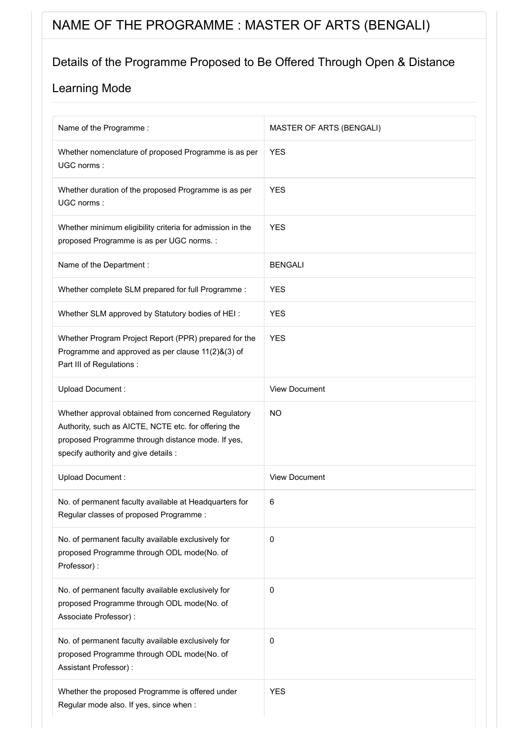# NAME OF THE PROGRAMME : MASTER OF ARTS (BENGALI)

### Details of the Programme Proposed to Be Offered Through Open & Distance

| Name of the Programme:                                                                                                                                                                                   | MASTER OF ARTS (BENGALI) |
|----------------------------------------------------------------------------------------------------------------------------------------------------------------------------------------------------------|--------------------------|
| Whether nomenclature of proposed Programme is as per<br>UGC norms:                                                                                                                                       | <b>YES</b>               |
| Whether duration of the proposed Programme is as per<br>UGC norms:                                                                                                                                       | <b>YES</b>               |
| Whether minimum eligibility criteria for admission in the<br>proposed Programme is as per UGC norms. :                                                                                                   | <b>YES</b>               |
| Name of the Department :                                                                                                                                                                                 | <b>BENGALI</b>           |
| Whether complete SLM prepared for full Programme :                                                                                                                                                       | <b>YES</b>               |
| Whether SLM approved by Statutory bodies of HEI:                                                                                                                                                         | <b>YES</b>               |
| Whether Program Project Report (PPR) prepared for the<br>Programme and approved as per clause 11(2)&(3) of<br>Part III of Regulations :                                                                  | <b>YES</b>               |
| Upload Document:                                                                                                                                                                                         | <b>View Document</b>     |
| Whether approval obtained from concerned Regulatory<br>Authority, such as AICTE, NCTE etc. for offering the<br>proposed Programme through distance mode. If yes,<br>specify authority and give details : | <b>NO</b>                |
| Upload Document:                                                                                                                                                                                         | <b>View Document</b>     |
| No. of permanent faculty available at Headquarters for<br>Regular classes of proposed Programme:                                                                                                         | 6                        |
| No. of permanent faculty available exclusively for<br>proposed Programme through ODL mode(No. of<br>Professor):                                                                                          | 0                        |
| No. of permanent faculty available exclusively for<br>proposed Programme through ODL mode(No. of<br>Associate Professor) :                                                                               | $\pmb{0}$                |
| No. of permanent faculty available exclusively for<br>proposed Programme through ODL mode(No. of<br>Assistant Professor):                                                                                | $\pmb{0}$                |
| Whether the proposed Programme is offered under<br>Regular mode also. If yes, since when :                                                                                                               | <b>YES</b>               |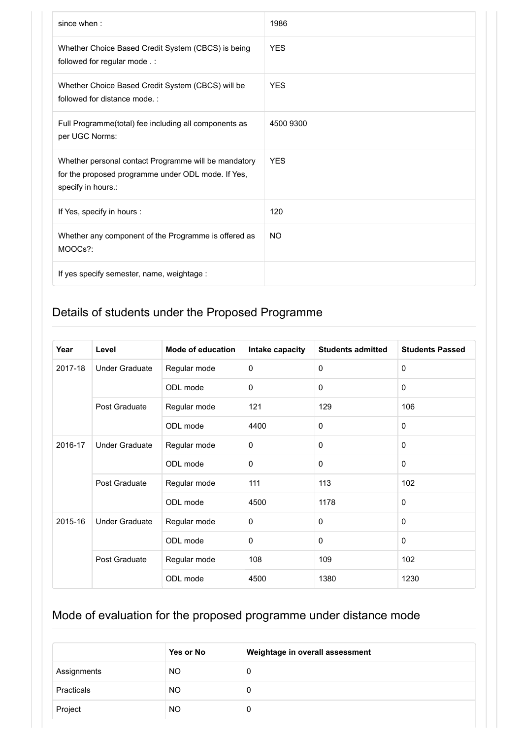| since when:                                                                                                                      | 1986       |
|----------------------------------------------------------------------------------------------------------------------------------|------------|
| Whether Choice Based Credit System (CBCS) is being<br>followed for regular mode.:                                                | <b>YES</b> |
| Whether Choice Based Credit System (CBCS) will be<br>followed for distance mode.:                                                | <b>YES</b> |
| Full Programme(total) fee including all components as<br>per UGC Norms:                                                          | 4500 9300  |
| Whether personal contact Programme will be mandatory<br>for the proposed programme under ODL mode. If Yes,<br>specify in hours.: | <b>YES</b> |
| If Yes, specify in hours :                                                                                                       | 120        |
| Whether any component of the Programme is offered as<br>MOOCs?:                                                                  | <b>NO</b>  |
| If yes specify semester, name, weightage :                                                                                       |            |

| Year                             | Level                 | <b>Mode of education</b> | Intake capacity | <b>Students admitted</b> | <b>Students Passed</b> |
|----------------------------------|-----------------------|--------------------------|-----------------|--------------------------|------------------------|
| 2017-18                          | <b>Under Graduate</b> | Regular mode             | 0               | $\Omega$                 | $\Omega$               |
|                                  |                       | ODL mode                 | $\Omega$        | $\Omega$                 | $\mathbf{0}$           |
|                                  | Post Graduate         | Regular mode             | 121             | 129                      | 106                    |
|                                  |                       | ODL mode                 | 4400            | $\mathbf 0$              | 0                      |
| 2016-17<br><b>Under Graduate</b> | Regular mode          | 0                        | $\Omega$        | $\Omega$                 |                        |
|                                  | ODL mode              | 0                        | $\mathbf 0$     | 0                        |                        |
|                                  | Post Graduate         | Regular mode             | 111             | 113                      | 102                    |
|                                  |                       | ODL mode                 | 4500            | 1178                     | $\mathbf 0$            |
| 2015-16                          | <b>Under Graduate</b> | Regular mode             | 0               | $\Omega$                 | $\mathbf{0}$           |
|                                  |                       | ODL mode                 | 0               | $\Omega$                 | $\mathbf{0}$           |
|                                  | Post Graduate         | Regular mode             | 108             | 109                      | 102                    |
|                                  |                       | ODL mode                 | 4500            | 1380                     | 1230                   |

|             | Yes or No | Weightage in overall assessment |
|-------------|-----------|---------------------------------|
| Assignments | <b>NO</b> | 0                               |
| Practicals  | NO.       | 0                               |
| Project     | NO.       | 0                               |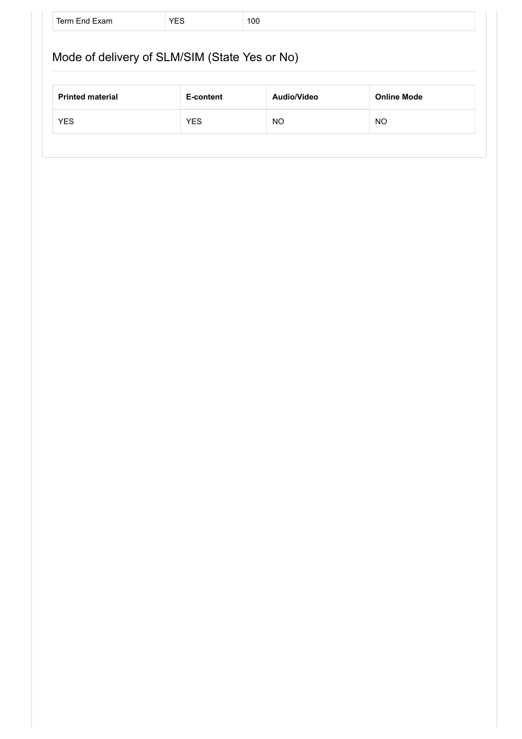|                         | Mode of delivery of SLM/SIM (State Yes or No) |             |                    |
|-------------------------|-----------------------------------------------|-------------|--------------------|
|                         |                                               |             |                    |
|                         | E-content                                     | Audio/Video | <b>Online Mode</b> |
| <b>Printed material</b> |                                               |             |                    |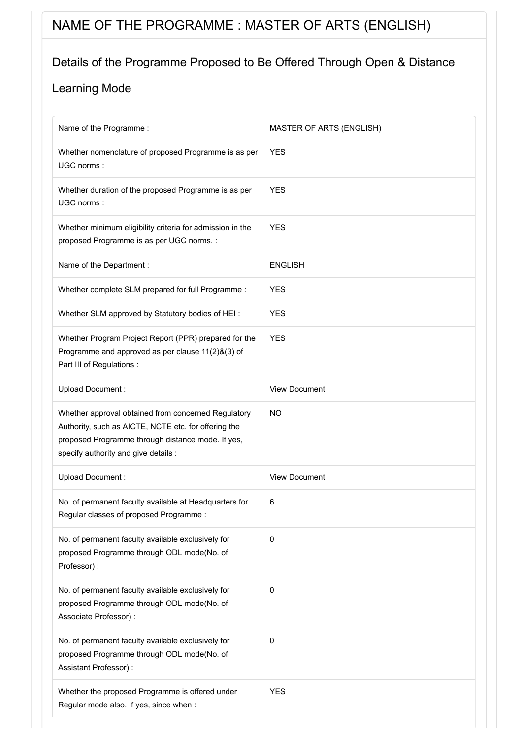# NAME OF THE PROGRAMME : MASTER OF ARTS (ENGLISH)

## Details of the Programme Proposed to Be Offered Through Open & Distance

| Name of the Programme:                                                                                                                                                                                   | <b>MASTER OF ARTS (ENGLISH)</b> |
|----------------------------------------------------------------------------------------------------------------------------------------------------------------------------------------------------------|---------------------------------|
| Whether nomenclature of proposed Programme is as per<br>UGC norms:                                                                                                                                       | <b>YES</b>                      |
| Whether duration of the proposed Programme is as per<br>UGC norms:                                                                                                                                       | <b>YES</b>                      |
| Whether minimum eligibility criteria for admission in the<br>proposed Programme is as per UGC norms. :                                                                                                   | <b>YES</b>                      |
| Name of the Department :                                                                                                                                                                                 | <b>ENGLISH</b>                  |
| Whether complete SLM prepared for full Programme :                                                                                                                                                       | <b>YES</b>                      |
| Whether SLM approved by Statutory bodies of HEI:                                                                                                                                                         | <b>YES</b>                      |
| Whether Program Project Report (PPR) prepared for the<br>Programme and approved as per clause 11(2)&(3) of<br>Part III of Regulations :                                                                  | <b>YES</b>                      |
| Upload Document:                                                                                                                                                                                         | <b>View Document</b>            |
| Whether approval obtained from concerned Regulatory<br>Authority, such as AICTE, NCTE etc. for offering the<br>proposed Programme through distance mode. If yes,<br>specify authority and give details : | <b>NO</b>                       |
| Upload Document:                                                                                                                                                                                         | <b>View Document</b>            |
| No. of permanent faculty available at Headquarters for<br>Regular classes of proposed Programme:                                                                                                         | 6                               |
| No. of permanent faculty available exclusively for<br>proposed Programme through ODL mode(No. of<br>Professor):                                                                                          | 0                               |
| No. of permanent faculty available exclusively for<br>proposed Programme through ODL mode(No. of<br>Associate Professor) :                                                                               | 0                               |
| No. of permanent faculty available exclusively for<br>proposed Programme through ODL mode(No. of<br>Assistant Professor) :                                                                               | 0                               |
| Whether the proposed Programme is offered under<br>Regular mode also. If yes, since when :                                                                                                               | <b>YES</b>                      |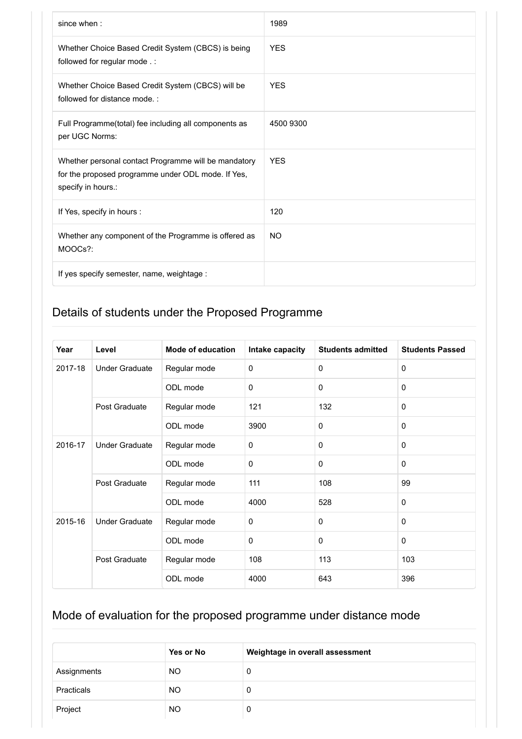| since when:                                                                                                                      | 1989       |
|----------------------------------------------------------------------------------------------------------------------------------|------------|
| Whether Choice Based Credit System (CBCS) is being<br>followed for regular mode .:                                               | <b>YES</b> |
| Whether Choice Based Credit System (CBCS) will be<br>followed for distance mode.:                                                | <b>YES</b> |
| Full Programme(total) fee including all components as<br>per UGC Norms:                                                          | 4500 9300  |
| Whether personal contact Programme will be mandatory<br>for the proposed programme under ODL mode. If Yes,<br>specify in hours.: | <b>YES</b> |
| If Yes, specify in hours :                                                                                                       | 120        |
| Whether any component of the Programme is offered as<br>MOOCs?:                                                                  | <b>NO</b>  |
| If yes specify semester, name, weightage :                                                                                       |            |

| Year                             | Level                 | <b>Mode of education</b> | Intake capacity | <b>Students admitted</b> | <b>Students Passed</b> |
|----------------------------------|-----------------------|--------------------------|-----------------|--------------------------|------------------------|
| 2017-18                          | <b>Under Graduate</b> | Regular mode             | 0               | $\Omega$                 | $\Omega$               |
|                                  |                       | ODL mode                 | $\Omega$        | $\Omega$                 | $\mathbf{0}$           |
|                                  | Post Graduate         | Regular mode             | 121             | 132                      | $\mathbf 0$            |
|                                  |                       | ODL mode                 | 3900            | $\mathbf 0$              | $\mathbf{0}$           |
| 2016-17<br><b>Under Graduate</b> | Regular mode          | 0                        | $\Omega$        | $\Omega$                 |                        |
|                                  | ODL mode              | 0                        | $\mathbf 0$     | $\mathbf 0$              |                        |
|                                  | Post Graduate         | Regular mode             | 111             | 108                      | 99                     |
|                                  |                       | ODL mode                 | 4000            | 528                      | $\mathbf{0}$           |
| 2015-16                          | <b>Under Graduate</b> | Regular mode             | 0               | $\Omega$                 | $\mathbf{0}$           |
|                                  |                       | ODL mode                 | 0               | $\Omega$                 | $\mathbf{0}$           |
|                                  | Post Graduate         | Regular mode             | 108             | 113                      | 103                    |
|                                  |                       | ODL mode                 | 4000            | 643                      | 396                    |

|             | Yes or No | Weightage in overall assessment |
|-------------|-----------|---------------------------------|
| Assignments | <b>NO</b> | 0                               |
| Practicals  | <b>NO</b> | 0                               |
| Project     | <b>NO</b> | 0                               |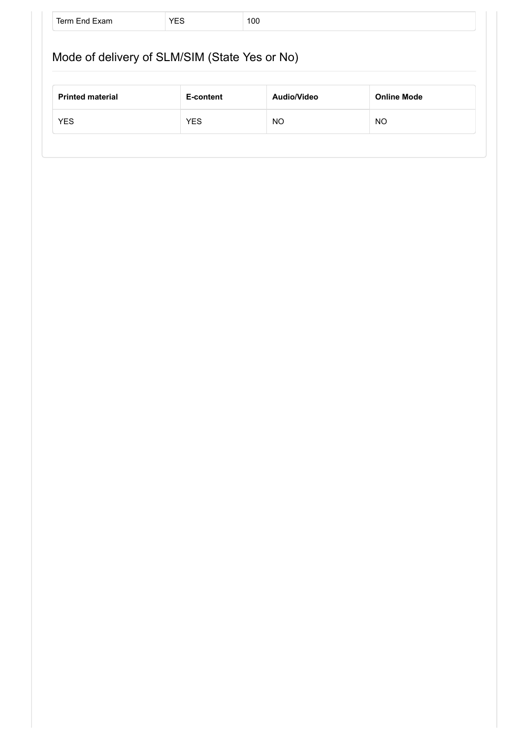|                         | Mode of delivery of SLM/SIM (State Yes or No) |             |                    |
|-------------------------|-----------------------------------------------|-------------|--------------------|
|                         |                                               |             |                    |
|                         |                                               |             |                    |
| <b>Printed material</b> | E-content                                     | Audio/Video | <b>Online Mode</b> |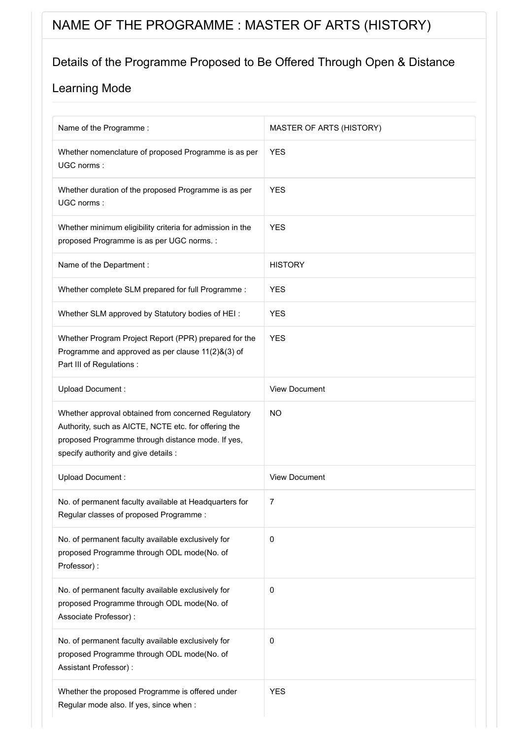# NAME OF THE PROGRAMME : MASTER OF ARTS (HISTORY)

### Details of the Programme Proposed to Be Offered Through Open & Distance

| Name of the Programme:                                                                                                                                                                                   | <b>MASTER OF ARTS (HISTORY)</b> |
|----------------------------------------------------------------------------------------------------------------------------------------------------------------------------------------------------------|---------------------------------|
| Whether nomenclature of proposed Programme is as per<br>UGC norms:                                                                                                                                       | <b>YES</b>                      |
| Whether duration of the proposed Programme is as per<br>UGC norms:                                                                                                                                       | <b>YES</b>                      |
| Whether minimum eligibility criteria for admission in the<br>proposed Programme is as per UGC norms. :                                                                                                   | <b>YES</b>                      |
| Name of the Department :                                                                                                                                                                                 | <b>HISTORY</b>                  |
| Whether complete SLM prepared for full Programme :                                                                                                                                                       | <b>YES</b>                      |
| Whether SLM approved by Statutory bodies of HEI:                                                                                                                                                         | <b>YES</b>                      |
| Whether Program Project Report (PPR) prepared for the<br>Programme and approved as per clause 11(2)&(3) of<br>Part III of Regulations :                                                                  | <b>YES</b>                      |
| Upload Document:                                                                                                                                                                                         | <b>View Document</b>            |
| Whether approval obtained from concerned Regulatory<br>Authority, such as AICTE, NCTE etc. for offering the<br>proposed Programme through distance mode. If yes,<br>specify authority and give details : | <b>NO</b>                       |
| Upload Document:                                                                                                                                                                                         | <b>View Document</b>            |
| No. of permanent faculty available at Headquarters for<br>Regular classes of proposed Programme:                                                                                                         | 7                               |
| No. of permanent faculty available exclusively for<br>proposed Programme through ODL mode(No. of<br>Professor):                                                                                          | 0                               |
| No. of permanent faculty available exclusively for<br>proposed Programme through ODL mode(No. of<br>Associate Professor) :                                                                               | 0                               |
| No. of permanent faculty available exclusively for<br>proposed Programme through ODL mode(No. of<br>Assistant Professor) :                                                                               | 0                               |
| Whether the proposed Programme is offered under<br>Regular mode also. If yes, since when :                                                                                                               | <b>YES</b>                      |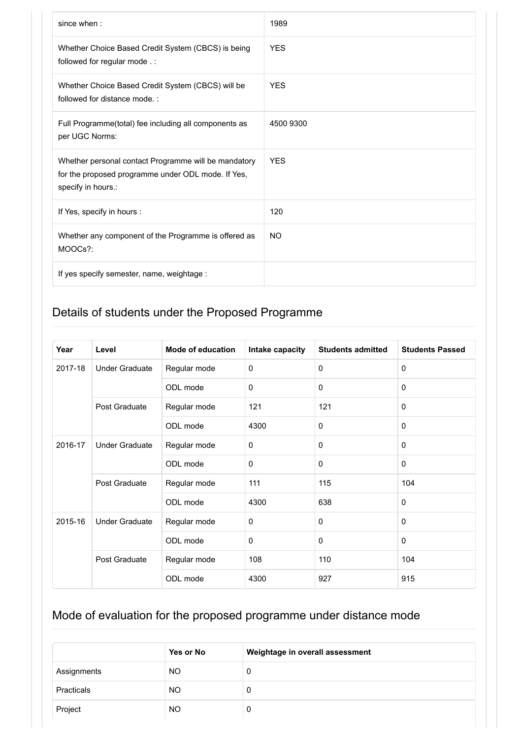| since when:                                                                                                                      | 1989       |
|----------------------------------------------------------------------------------------------------------------------------------|------------|
| Whether Choice Based Credit System (CBCS) is being<br>followed for regular mode .:                                               | <b>YES</b> |
| Whether Choice Based Credit System (CBCS) will be<br>followed for distance mode.:                                                | <b>YFS</b> |
| Full Programme(total) fee including all components as<br>per UGC Norms:                                                          | 4500 9300  |
| Whether personal contact Programme will be mandatory<br>for the proposed programme under ODL mode. If Yes,<br>specify in hours.: | <b>YES</b> |
| If Yes, specify in hours :                                                                                                       | 120        |
| Whether any component of the Programme is offered as<br>MOOCs?:                                                                  | <b>NO</b>  |
| If yes specify semester, name, weightage :                                                                                       |            |

| Year    | Level                 | <b>Mode of education</b> | Intake capacity | <b>Students admitted</b> | <b>Students Passed</b> |
|---------|-----------------------|--------------------------|-----------------|--------------------------|------------------------|
| 2017-18 | <b>Under Graduate</b> | Regular mode             | 0               | $\Omega$                 | $\Omega$               |
|         |                       | ODL mode                 | $\Omega$        | $\Omega$                 | $\mathbf{0}$           |
|         | Post Graduate         | Regular mode             | 121             | 121                      | $\mathbf 0$            |
|         |                       | ODL mode                 | 4300            | $\mathbf 0$              | $\mathbf{0}$           |
| 2016-17 | <b>Under Graduate</b> | Regular mode             | 0               | $\Omega$                 | $\Omega$               |
|         |                       | ODL mode                 | 0               | $\mathbf 0$              | $\mathbf 0$            |
|         | Post Graduate         | Regular mode             | 111             | 115                      | 104                    |
|         |                       | ODL mode                 | 4300            | 638                      | $\mathbf 0$            |
| 2015-16 | <b>Under Graduate</b> | Regular mode             | 0               | $\Omega$                 | $\mathbf{0}$           |
|         |                       | ODL mode                 | 0               | $\Omega$                 | $\mathbf{0}$           |
|         | Post Graduate         | Regular mode             | 108             | 110                      | 104                    |
|         |                       | ODL mode                 | 4300            | 927                      | 915                    |

|             | Yes or No | Weightage in overall assessment |
|-------------|-----------|---------------------------------|
| Assignments | NO.       | 0                               |
| Practicals  | NO.       | 0                               |
| Project     | <b>NO</b> | 0                               |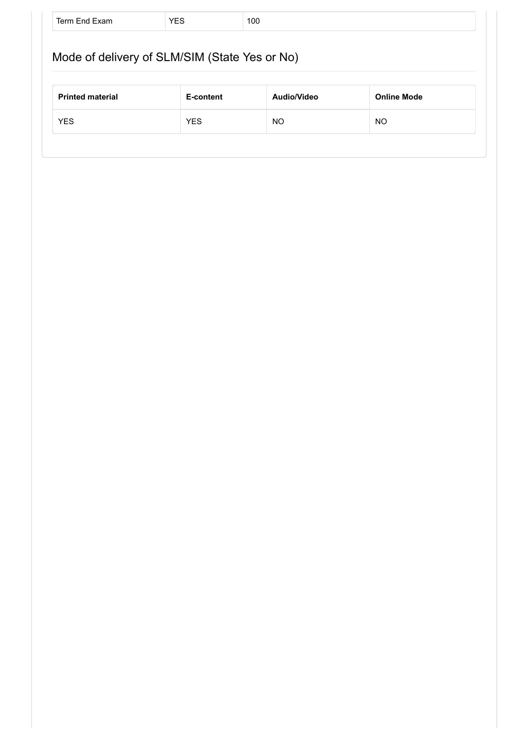| Mode of delivery of SLM/SIM (State Yes or No) |           |             |                    |  |
|-----------------------------------------------|-----------|-------------|--------------------|--|
|                                               |           |             |                    |  |
|                                               |           |             |                    |  |
| <b>Printed material</b>                       | E-content | Audio/Video | <b>Online Mode</b> |  |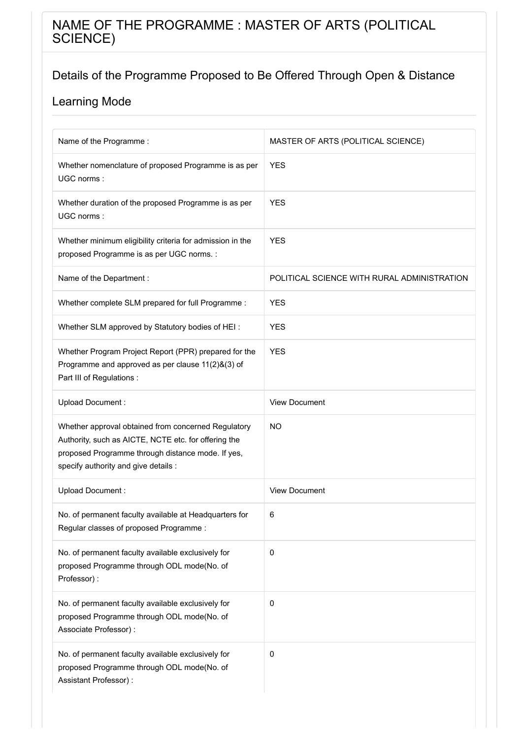### NAME OF THE PROGRAMME : MASTER OF ARTS (POLITICAL SCIENCE)

### Details of the Programme Proposed to Be Offered Through Open & Distance

| Name of the Programme:                                                                                                                                                                                   | MASTER OF ARTS (POLITICAL SCIENCE)          |
|----------------------------------------------------------------------------------------------------------------------------------------------------------------------------------------------------------|---------------------------------------------|
| Whether nomenclature of proposed Programme is as per<br>UGC norms:                                                                                                                                       | <b>YES</b>                                  |
| Whether duration of the proposed Programme is as per<br>UGC norms:                                                                                                                                       | <b>YES</b>                                  |
| Whether minimum eligibility criteria for admission in the<br>proposed Programme is as per UGC norms. :                                                                                                   | <b>YES</b>                                  |
| Name of the Department :                                                                                                                                                                                 | POLITICAL SCIENCE WITH RURAL ADMINISTRATION |
| Whether complete SLM prepared for full Programme :                                                                                                                                                       | <b>YES</b>                                  |
| Whether SLM approved by Statutory bodies of HEI:                                                                                                                                                         | <b>YES</b>                                  |
| Whether Program Project Report (PPR) prepared for the<br>Programme and approved as per clause 11(2)&(3) of<br>Part III of Regulations :                                                                  | <b>YES</b>                                  |
| Upload Document:                                                                                                                                                                                         | <b>View Document</b>                        |
| Whether approval obtained from concerned Regulatory<br>Authority, such as AICTE, NCTE etc. for offering the<br>proposed Programme through distance mode. If yes,<br>specify authority and give details : | <b>NO</b>                                   |
| Upload Document:                                                                                                                                                                                         | <b>View Document</b>                        |
| No. of permanent faculty available at Headquarters for<br>Regular classes of proposed Programme:                                                                                                         | 6                                           |
| No. of permanent faculty available exclusively for<br>proposed Programme through ODL mode(No. of<br>Professor):                                                                                          | $\pmb{0}$                                   |
| No. of permanent faculty available exclusively for<br>proposed Programme through ODL mode(No. of<br>Associate Professor) :                                                                               | $\pmb{0}$                                   |
| No. of permanent faculty available exclusively for<br>proposed Programme through ODL mode(No. of<br>Assistant Professor) :                                                                               | 0                                           |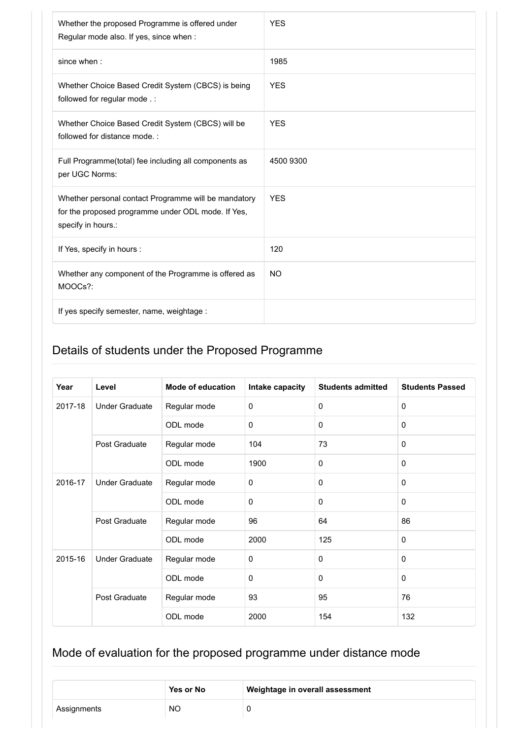| Whether the proposed Programme is offered under<br>Regular mode also. If yes, since when :                                       | <b>YES</b> |
|----------------------------------------------------------------------------------------------------------------------------------|------------|
| since when :                                                                                                                     | 1985       |
| Whether Choice Based Credit System (CBCS) is being<br>followed for regular mode.:                                                | <b>YES</b> |
| Whether Choice Based Credit System (CBCS) will be<br>followed for distance mode.:                                                | <b>YES</b> |
| Full Programme(total) fee including all components as<br>per UGC Norms:                                                          | 4500 9300  |
| Whether personal contact Programme will be mandatory<br>for the proposed programme under ODL mode. If Yes,<br>specify in hours.: | <b>YES</b> |
| If Yes, specify in hours :                                                                                                       | 120        |
| Whether any component of the Programme is offered as<br>MOOCs?:                                                                  | <b>NO</b>  |
| If yes specify semester, name, weightage :                                                                                       |            |

| Year    | Level                                  | <b>Mode of education</b> | Intake capacity | <b>Students admitted</b> | <b>Students Passed</b> |
|---------|----------------------------------------|--------------------------|-----------------|--------------------------|------------------------|
| 2017-18 | <b>Under Graduate</b><br>Post Graduate | Regular mode             | $\mathbf 0$     | $\mathbf 0$              | $\mathbf 0$            |
|         |                                        | ODL mode                 | $\mathbf 0$     | $\Omega$                 | $\mathbf{0}$           |
|         |                                        | Regular mode             | 104             | 73                       | $\mathbf{0}$           |
|         |                                        | ODL mode                 | 1900            | $\mathbf 0$              | $\mathbf 0$            |
| 2016-17 | <b>Under Graduate</b>                  | Regular mode             | $\mathbf 0$     | $\mathbf 0$              | $\mathbf{0}$           |
|         |                                        | ODL mode                 | $\mathbf 0$     | $\mathbf 0$              | $\mathbf{0}$           |
|         | Post Graduate                          | Regular mode             | 96              | 64                       | 86                     |
|         |                                        | ODL mode                 | 2000            | 125                      | $\mathbf{0}$           |
| 2015-16 | <b>Under Graduate</b>                  | Regular mode             | $\mathbf 0$     | $\mathbf 0$              | $\mathbf{0}$           |
|         |                                        | ODL mode                 | $\mathbf 0$     | $\mathbf 0$              | 0                      |
|         | Post Graduate                          | Regular mode             | 93              | 95                       | 76                     |
|         |                                        | ODL mode                 | 2000            | 154                      | 132                    |

|             | Yes or No | Weightage in overall assessment |
|-------------|-----------|---------------------------------|
| Assignments | <b>NO</b> |                                 |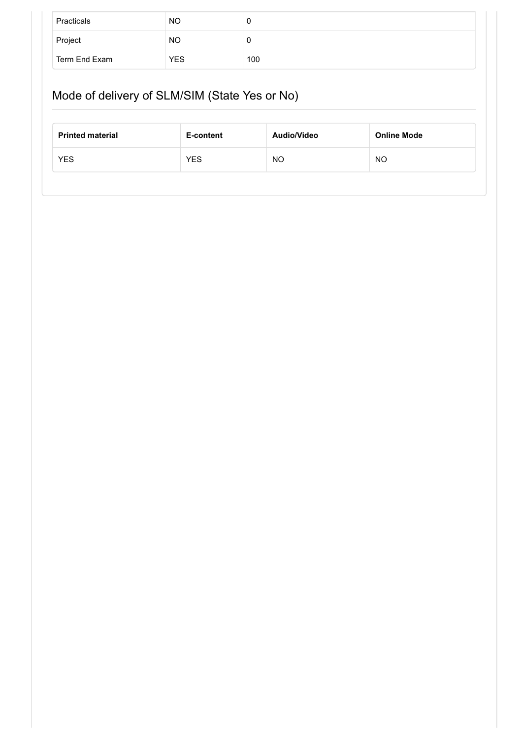| Practicals    | NO        | U   |
|---------------|-----------|-----|
| Project       | <b>NO</b> | U   |
| Term End Exam | YES       | 100 |

# Mode of delivery of SLM/SIM (State Yes or No)

| <b>Printed material</b> | E-content  | Audio/Video | <b>Online Mode</b> |
|-------------------------|------------|-------------|--------------------|
| <b>YES</b>              | <b>YES</b> | NO          | NO                 |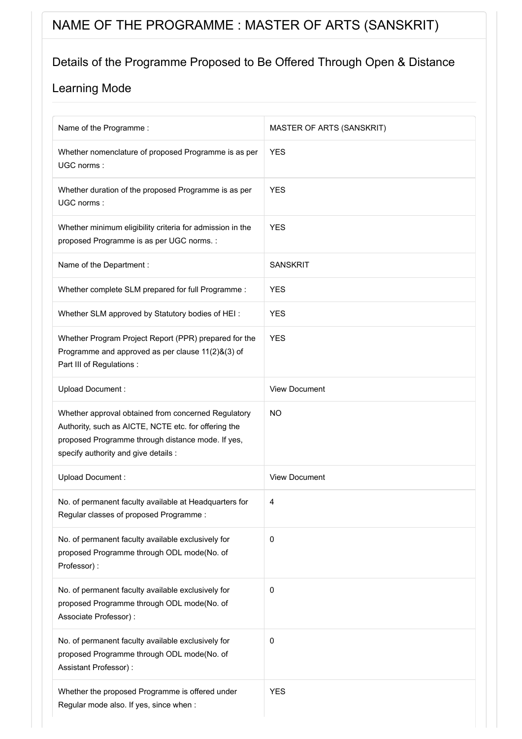# NAME OF THE PROGRAMME : MASTER OF ARTS (SANSKRIT)

### Details of the Programme Proposed to Be Offered Through Open & Distance

| Name of the Programme :                                                                                                                                                                                  | MASTER OF ARTS (SANSKRIT) |
|----------------------------------------------------------------------------------------------------------------------------------------------------------------------------------------------------------|---------------------------|
| Whether nomenclature of proposed Programme is as per<br>UGC norms:                                                                                                                                       | <b>YES</b>                |
| Whether duration of the proposed Programme is as per<br>UGC norms:                                                                                                                                       | <b>YES</b>                |
| Whether minimum eligibility criteria for admission in the<br>proposed Programme is as per UGC norms. :                                                                                                   | <b>YES</b>                |
| Name of the Department :                                                                                                                                                                                 | <b>SANSKRIT</b>           |
| Whether complete SLM prepared for full Programme :                                                                                                                                                       | <b>YES</b>                |
| Whether SLM approved by Statutory bodies of HEI:                                                                                                                                                         | <b>YES</b>                |
| Whether Program Project Report (PPR) prepared for the<br>Programme and approved as per clause 11(2)&(3) of<br>Part III of Regulations :                                                                  | <b>YES</b>                |
| Upload Document:                                                                                                                                                                                         | <b>View Document</b>      |
| Whether approval obtained from concerned Regulatory<br>Authority, such as AICTE, NCTE etc. for offering the<br>proposed Programme through distance mode. If yes,<br>specify authority and give details : | <b>NO</b>                 |
| Upload Document:                                                                                                                                                                                         | <b>View Document</b>      |
| No. of permanent faculty available at Headquarters for<br>Regular classes of proposed Programme:                                                                                                         | 4                         |
| No. of permanent faculty available exclusively for<br>proposed Programme through ODL mode(No. of<br>Professor):                                                                                          | $\pmb{0}$                 |
| No. of permanent faculty available exclusively for<br>proposed Programme through ODL mode(No. of<br>Associate Professor) :                                                                               | 0                         |
| No. of permanent faculty available exclusively for<br>proposed Programme through ODL mode(No. of<br>Assistant Professor) :                                                                               | $\pmb{0}$                 |
| Whether the proposed Programme is offered under<br>Regular mode also. If yes, since when :                                                                                                               | <b>YES</b>                |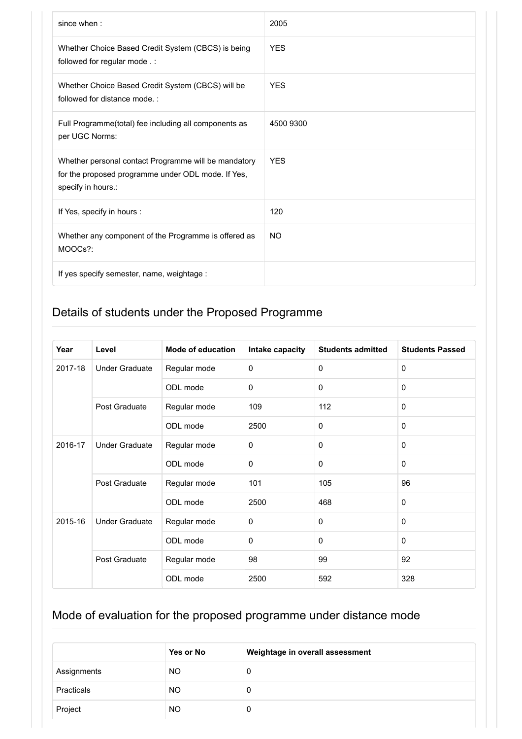| since when:                                                                                                                      | 2005       |
|----------------------------------------------------------------------------------------------------------------------------------|------------|
| Whether Choice Based Credit System (CBCS) is being<br>followed for regular mode .:                                               | <b>YES</b> |
| Whether Choice Based Credit System (CBCS) will be<br>followed for distance mode.:                                                | <b>YES</b> |
| Full Programme(total) fee including all components as<br>per UGC Norms:                                                          | 4500 9300  |
| Whether personal contact Programme will be mandatory<br>for the proposed programme under ODL mode. If Yes,<br>specify in hours.: | <b>YFS</b> |
| If Yes, specify in hours :                                                                                                       | 120        |
| Whether any component of the Programme is offered as<br>MOOCs?:                                                                  | <b>NO</b>  |
| If yes specify semester, name, weightage :                                                                                       |            |

| Year    | Level                 | <b>Mode of education</b> | Intake capacity | <b>Students admitted</b> | <b>Students Passed</b> |
|---------|-----------------------|--------------------------|-----------------|--------------------------|------------------------|
| 2017-18 | <b>Under Graduate</b> | Regular mode             | $\mathbf 0$     | $\Omega$                 | $\mathbf 0$            |
|         |                       | ODL mode                 | $\mathbf 0$     | $\mathbf 0$              | 0                      |
|         | Post Graduate         | Regular mode             | 109             | 112                      | 0                      |
|         |                       | ODL mode                 | 2500            | $\mathbf 0$              | $\mathbf 0$            |
| 2016-17 | <b>Under Graduate</b> | Regular mode             | $\mathbf 0$     | $\mathbf 0$              | $\mathbf 0$            |
|         | ODL mode              | $\mathbf 0$              | $\mathbf 0$     | 0                        |                        |
|         | Post Graduate         | Regular mode             | 101             | 105                      | 96                     |
|         |                       | ODL mode                 | 2500            | 468                      | 0                      |
| 2015-16 | <b>Under Graduate</b> | Regular mode             | $\mathbf 0$     | $\mathbf 0$              | $\mathbf 0$            |
|         |                       | ODL mode                 | $\mathbf 0$     | $\Omega$                 | 0                      |
|         | Post Graduate         | Regular mode             | 98              | 99                       | 92                     |
|         |                       | ODL mode                 | 2500            | 592                      | 328                    |

|             | Yes or No | Weightage in overall assessment |
|-------------|-----------|---------------------------------|
| Assignments | NO.       | 0                               |
| Practicals  | NO.       | 0                               |
| Project     | <b>NO</b> | 0                               |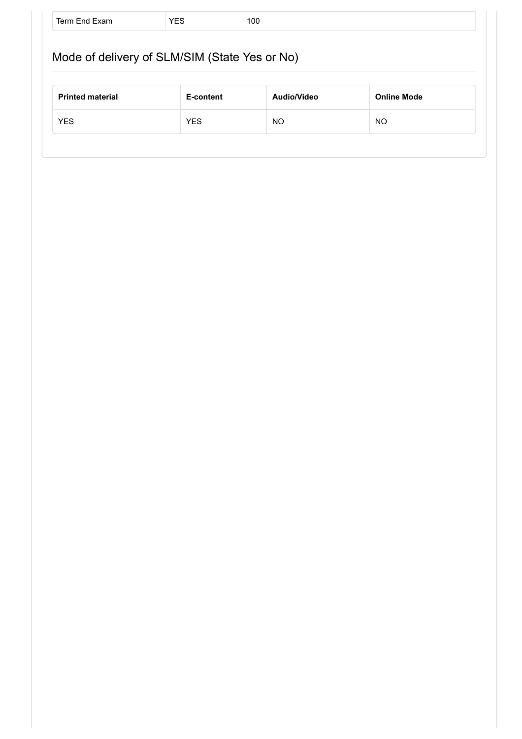|                         | Mode of delivery of SLM/SIM (State Yes or No) |             |                    |
|-------------------------|-----------------------------------------------|-------------|--------------------|
|                         |                                               |             |                    |
|                         | E-content                                     | Audio/Video | <b>Online Mode</b> |
| <b>Printed material</b> |                                               |             |                    |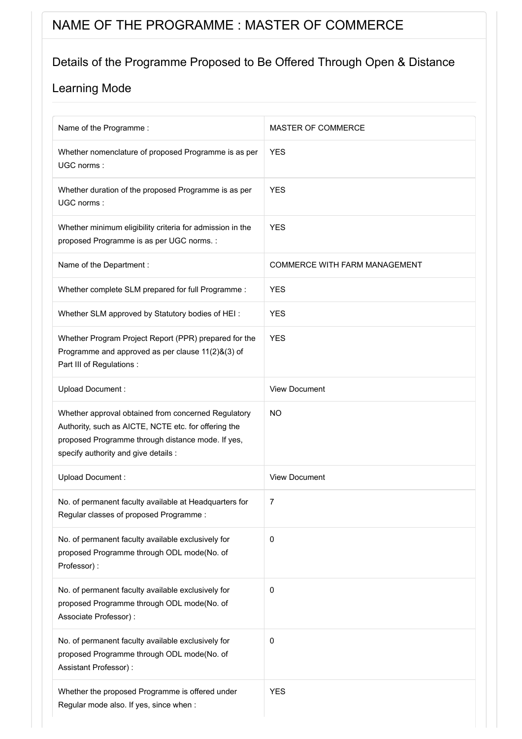# NAME OF THE PROGRAMME : MASTER OF COMMERCE

### Details of the Programme Proposed to Be Offered Through Open & Distance

| Name of the Programme:                                                                                                                                                                                   | MASTER OF COMMERCE                   |
|----------------------------------------------------------------------------------------------------------------------------------------------------------------------------------------------------------|--------------------------------------|
| Whether nomenclature of proposed Programme is as per<br>UGC norms:                                                                                                                                       | <b>YES</b>                           |
| Whether duration of the proposed Programme is as per<br>UGC norms:                                                                                                                                       | <b>YES</b>                           |
| Whether minimum eligibility criteria for admission in the<br>proposed Programme is as per UGC norms. :                                                                                                   | <b>YES</b>                           |
| Name of the Department :                                                                                                                                                                                 | <b>COMMERCE WITH FARM MANAGEMENT</b> |
| Whether complete SLM prepared for full Programme :                                                                                                                                                       | <b>YES</b>                           |
| Whether SLM approved by Statutory bodies of HEI:                                                                                                                                                         | <b>YES</b>                           |
| Whether Program Project Report (PPR) prepared for the<br>Programme and approved as per clause 11(2)&(3) of<br>Part III of Regulations :                                                                  | <b>YES</b>                           |
| Upload Document:                                                                                                                                                                                         | <b>View Document</b>                 |
| Whether approval obtained from concerned Regulatory<br>Authority, such as AICTE, NCTE etc. for offering the<br>proposed Programme through distance mode. If yes,<br>specify authority and give details : | <b>NO</b>                            |
| <b>Upload Document:</b>                                                                                                                                                                                  | <b>View Document</b>                 |
| No. of permanent faculty available at Headquarters for<br>Regular classes of proposed Programme:                                                                                                         | 7                                    |
| No. of permanent faculty available exclusively for<br>proposed Programme through ODL mode(No. of<br>Professor):                                                                                          | $\pmb{0}$                            |
| No. of permanent faculty available exclusively for<br>proposed Programme through ODL mode(No. of<br>Associate Professor) :                                                                               | $\pmb{0}$                            |
| No. of permanent faculty available exclusively for<br>proposed Programme through ODL mode(No. of<br>Assistant Professor) :                                                                               | $\pmb{0}$                            |
| Whether the proposed Programme is offered under<br>Regular mode also. If yes, since when :                                                                                                               | <b>YES</b>                           |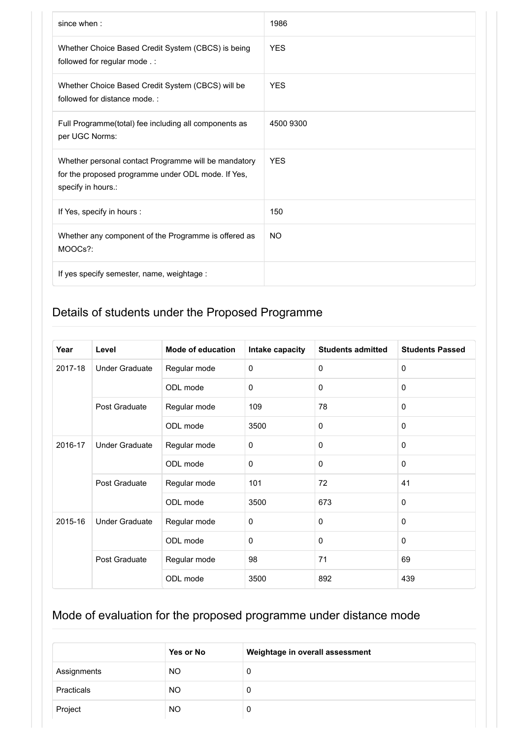| since when:                                                                                                                      | 1986       |
|----------------------------------------------------------------------------------------------------------------------------------|------------|
| Whether Choice Based Credit System (CBCS) is being<br>followed for regular mode .:                                               | <b>YES</b> |
| Whether Choice Based Credit System (CBCS) will be<br>followed for distance mode.:                                                | <b>YFS</b> |
| Full Programme(total) fee including all components as<br>per UGC Norms:                                                          | 4500 9300  |
| Whether personal contact Programme will be mandatory<br>for the proposed programme under ODL mode. If Yes,<br>specify in hours.: | <b>YES</b> |
| If Yes, specify in hours :                                                                                                       | 150        |
| Whether any component of the Programme is offered as<br>MOOCs?:                                                                  | <b>NO</b>  |
| If yes specify semester, name, weightage :                                                                                       |            |

| Year    | Level                 | <b>Mode of education</b> | Intake capacity | <b>Students admitted</b> | <b>Students Passed</b> |
|---------|-----------------------|--------------------------|-----------------|--------------------------|------------------------|
| 2017-18 | <b>Under Graduate</b> | Regular mode             | 0               | $\Omega$                 | 0                      |
|         |                       | ODL mode                 | $\Omega$        | $\Omega$                 | $\Omega$               |
|         | Post Graduate         | Regular mode             | 109             | 78                       | $\mathbf 0$            |
|         |                       | ODL mode                 | 3500            | $\mathbf 0$              | $\mathbf{0}$           |
| 2016-17 | <b>Under Graduate</b> | Regular mode             | 0               | $\Omega$                 | $\Omega$               |
|         | ODL mode              | 0                        | $\mathbf 0$     | $\mathbf 0$              |                        |
|         | Post Graduate         | Regular mode             | 101             | 72                       | 41                     |
|         |                       | ODL mode                 | 3500            | 673                      | $\mathbf{0}$           |
| 2015-16 | <b>Under Graduate</b> | Regular mode             | 0               | $\Omega$                 | $\mathbf{0}$           |
|         |                       | ODL mode                 | 0               | $\Omega$                 | $\mathbf{0}$           |
|         | Post Graduate         | Regular mode             | 98              | 71                       | 69                     |
|         |                       | ODL mode                 | 3500            | 892                      | 439                    |

|             | Yes or No | Weightage in overall assessment |
|-------------|-----------|---------------------------------|
| Assignments | <b>NO</b> | 0                               |
| Practicals  | <b>NO</b> | 0                               |
| Project     | <b>NO</b> | 0                               |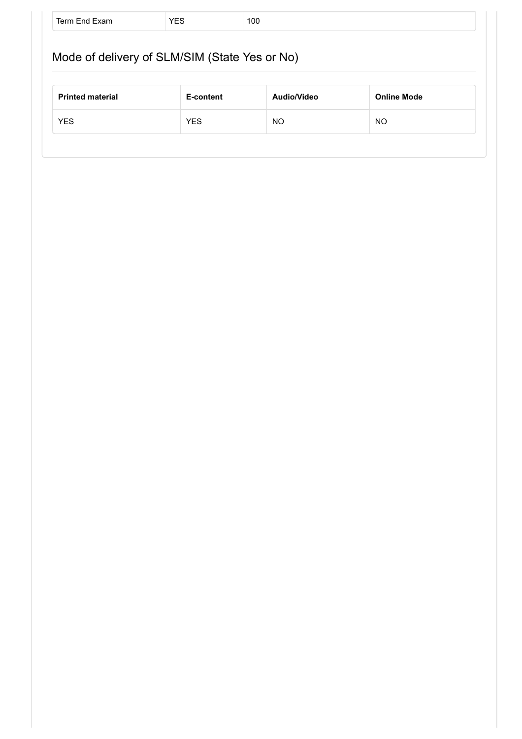|                         | Mode of delivery of SLM/SIM (State Yes or No) |             |                    |
|-------------------------|-----------------------------------------------|-------------|--------------------|
|                         |                                               |             |                    |
|                         |                                               |             |                    |
| <b>Printed material</b> | E-content                                     | Audio/Video | <b>Online Mode</b> |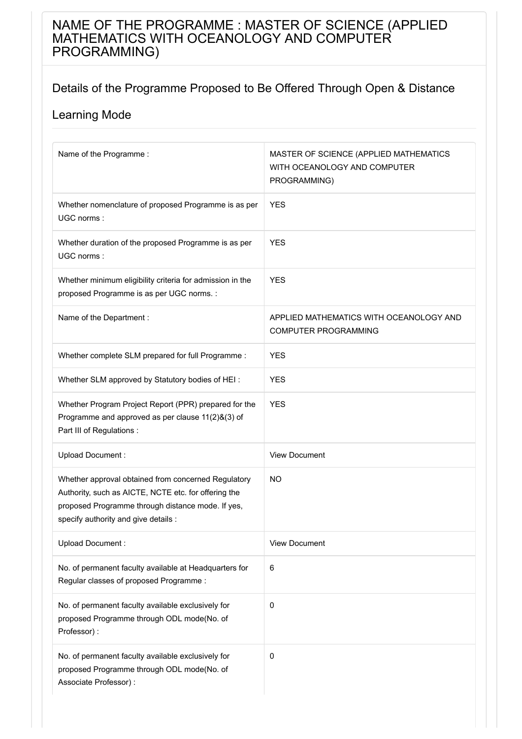### NAME OF THE PROGRAMME : MASTER OF SCIENCE (APPLIED MATHEMATICS WITH OCEANOLOGY AND COMPUTER PROGRAMMING)

#### Details of the Programme Proposed to Be Offered Through Open & Distance

| Name of the Programme:                                                                                                                                                                                   | MASTER OF SCIENCE (APPLIED MATHEMATICS<br>WITH OCEANOLOGY AND COMPUTER<br>PROGRAMMING) |
|----------------------------------------------------------------------------------------------------------------------------------------------------------------------------------------------------------|----------------------------------------------------------------------------------------|
| Whether nomenclature of proposed Programme is as per<br>UGC norms:                                                                                                                                       | <b>YES</b>                                                                             |
| Whether duration of the proposed Programme is as per<br>UGC norms:                                                                                                                                       | <b>YES</b>                                                                             |
| Whether minimum eligibility criteria for admission in the<br>proposed Programme is as per UGC norms. :                                                                                                   | <b>YES</b>                                                                             |
| Name of the Department :                                                                                                                                                                                 | APPLIED MATHEMATICS WITH OCEANOLOGY AND<br><b>COMPUTER PROGRAMMING</b>                 |
| Whether complete SLM prepared for full Programme :                                                                                                                                                       | <b>YES</b>                                                                             |
| Whether SLM approved by Statutory bodies of HEI:                                                                                                                                                         | <b>YES</b>                                                                             |
| Whether Program Project Report (PPR) prepared for the<br>Programme and approved as per clause 11(2)&(3) of<br>Part III of Regulations :                                                                  | <b>YES</b>                                                                             |
| Upload Document:                                                                                                                                                                                         | <b>View Document</b>                                                                   |
| Whether approval obtained from concerned Regulatory<br>Authority, such as AICTE, NCTE etc. for offering the<br>proposed Programme through distance mode. If yes,<br>specify authority and give details : | <b>NO</b>                                                                              |
| Upload Document:                                                                                                                                                                                         | <b>View Document</b>                                                                   |
| No. of permanent faculty available at Headquarters for<br>Regular classes of proposed Programme:                                                                                                         | 6                                                                                      |
| No. of permanent faculty available exclusively for<br>proposed Programme through ODL mode(No. of<br>Professor):                                                                                          | $\pmb{0}$                                                                              |
| No. of permanent faculty available exclusively for<br>proposed Programme through ODL mode(No. of<br>Associate Professor) :                                                                               | 0                                                                                      |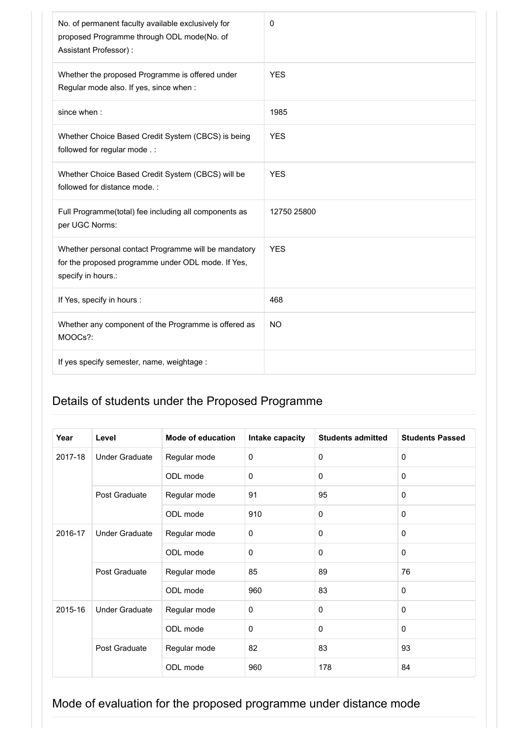| No. of permanent faculty available exclusively for<br>proposed Programme through ODL mode(No. of<br>Assistant Professor) :       | 0           |
|----------------------------------------------------------------------------------------------------------------------------------|-------------|
| Whether the proposed Programme is offered under<br>Regular mode also. If yes, since when :                                       | <b>YES</b>  |
| since when:                                                                                                                      | 1985        |
| Whether Choice Based Credit System (CBCS) is being<br>followed for regular mode .:                                               | <b>YES</b>  |
| Whether Choice Based Credit System (CBCS) will be<br>followed for distance mode.:                                                | <b>YES</b>  |
| Full Programme(total) fee including all components as<br>per UGC Norms:                                                          | 12750 25800 |
| Whether personal contact Programme will be mandatory<br>for the proposed programme under ODL mode. If Yes,<br>specify in hours.: | <b>YES</b>  |
| If Yes, specify in hours :                                                                                                       | 468         |
| Whether any component of the Programme is offered as<br>MOOCs?:                                                                  | <b>NO</b>   |
| If yes specify semester, name, weightage :                                                                                       |             |

| Year    | Level                 | <b>Mode of education</b> | Intake capacity | <b>Students admitted</b> | <b>Students Passed</b> |
|---------|-----------------------|--------------------------|-----------------|--------------------------|------------------------|
| 2017-18 | <b>Under Graduate</b> | Regular mode             | $\mathbf 0$     | $\mathbf 0$              | $\mathbf 0$            |
|         |                       | ODL mode                 | $\Omega$        | $\Omega$                 | $\Omega$               |
|         | Post Graduate         | Regular mode             | 91              | 95                       | $\Omega$               |
|         |                       | ODL mode                 | 910             | $\mathbf 0$              | $\mathbf{0}$           |
| 2016-17 | <b>Under Graduate</b> | Regular mode             | $\mathbf 0$     | $\mathbf 0$              | $\Omega$               |
|         |                       | ODL mode                 | $\Omega$        | $\mathbf 0$              | $\mathbf{0}$           |
|         | Post Graduate         | Regular mode             | 85              | 89                       | 76                     |
|         |                       | ODL mode                 | 960             | 83                       | $\Omega$               |
| 2015-16 | <b>Under Graduate</b> | Regular mode             | $\mathbf 0$     | $\mathbf 0$              | 0                      |
|         |                       | ODL mode                 | $\mathbf 0$     | $\Omega$                 | $\Omega$               |
|         | Post Graduate         | Regular mode             | 82              | 83                       | 93                     |
|         |                       | ODL mode                 | 960             | 178                      | 84                     |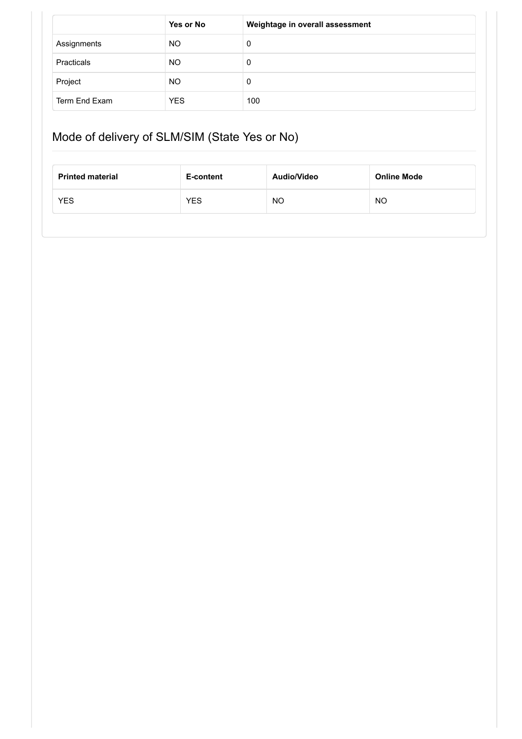|               | Yes or No  | Weightage in overall assessment |
|---------------|------------|---------------------------------|
| Assignments   | NO.        | 0                               |
| Practicals    | <b>NO</b>  | 0                               |
| Project       | <b>NO</b>  | 0                               |
| Term End Exam | <b>YES</b> | 100                             |

# Mode of delivery of SLM/SIM (State Yes or No)

| <b>Printed material</b> | E-content  | Audio/Video | <b>Online Mode</b> |
|-------------------------|------------|-------------|--------------------|
| <b>YES</b>              | <b>YES</b> | NO          | <b>NO</b>          |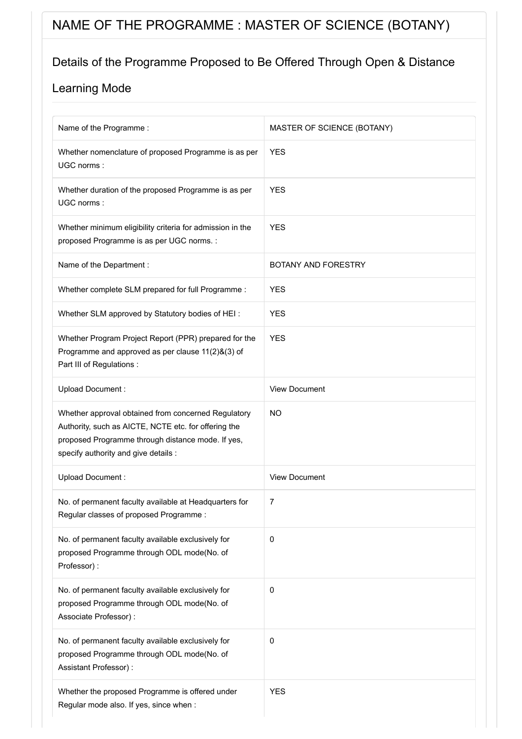# NAME OF THE PROGRAMME : MASTER OF SCIENCE (BOTANY)

### Details of the Programme Proposed to Be Offered Through Open & Distance

| Name of the Programme :                                                                                                                                                                                  | MASTER OF SCIENCE (BOTANY) |
|----------------------------------------------------------------------------------------------------------------------------------------------------------------------------------------------------------|----------------------------|
| Whether nomenclature of proposed Programme is as per<br>UGC norms:                                                                                                                                       | <b>YES</b>                 |
| Whether duration of the proposed Programme is as per<br>UGC norms:                                                                                                                                       | <b>YES</b>                 |
| Whether minimum eligibility criteria for admission in the<br>proposed Programme is as per UGC norms. :                                                                                                   | <b>YES</b>                 |
| Name of the Department :                                                                                                                                                                                 | BOTANY AND FORESTRY        |
| Whether complete SLM prepared for full Programme :                                                                                                                                                       | <b>YES</b>                 |
| Whether SLM approved by Statutory bodies of HEI:                                                                                                                                                         | <b>YES</b>                 |
| Whether Program Project Report (PPR) prepared for the<br>Programme and approved as per clause 11(2)&(3) of<br>Part III of Regulations :                                                                  | <b>YES</b>                 |
| Upload Document:                                                                                                                                                                                         | <b>View Document</b>       |
| Whether approval obtained from concerned Regulatory<br>Authority, such as AICTE, NCTE etc. for offering the<br>proposed Programme through distance mode. If yes,<br>specify authority and give details : | <b>NO</b>                  |
| Upload Document:                                                                                                                                                                                         | <b>View Document</b>       |
| No. of permanent faculty available at Headquarters for<br>Regular classes of proposed Programme:                                                                                                         | 7                          |
| No. of permanent faculty available exclusively for<br>proposed Programme through ODL mode(No. of<br>Professor):                                                                                          | 0                          |
| No. of permanent faculty available exclusively for<br>proposed Programme through ODL mode(No. of<br>Associate Professor) :                                                                               | 0                          |
| No. of permanent faculty available exclusively for<br>proposed Programme through ODL mode(No. of<br>Assistant Professor) :                                                                               | 0                          |
| Whether the proposed Programme is offered under<br>Regular mode also. If yes, since when :                                                                                                               | <b>YES</b>                 |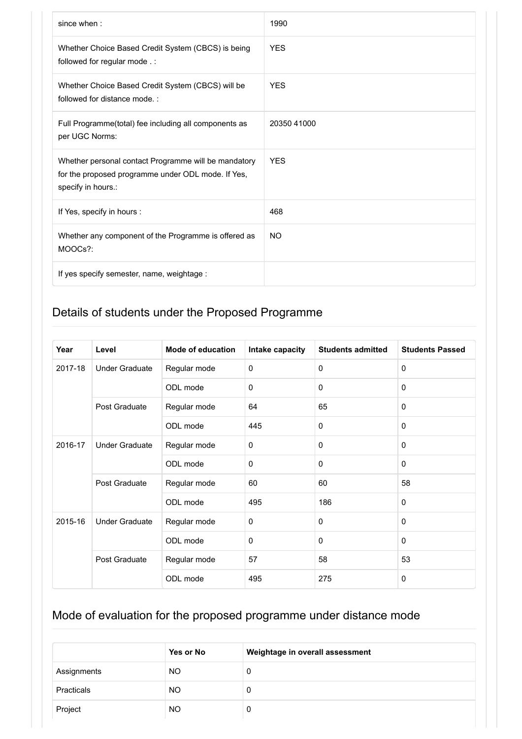| since when:                                                                                                                      | 1990        |
|----------------------------------------------------------------------------------------------------------------------------------|-------------|
| Whether Choice Based Credit System (CBCS) is being<br>followed for regular mode .:                                               | <b>YES</b>  |
| Whether Choice Based Credit System (CBCS) will be<br>followed for distance mode.:                                                | <b>YES</b>  |
| Full Programme(total) fee including all components as<br>per UGC Norms:                                                          | 20350 41000 |
| Whether personal contact Programme will be mandatory<br>for the proposed programme under ODL mode. If Yes,<br>specify in hours.: | <b>YES</b>  |
| If Yes, specify in hours :                                                                                                       | 468         |
| Whether any component of the Programme is offered as<br>MOOCs?:                                                                  | <b>NO</b>   |
| If yes specify semester, name, weightage :                                                                                       |             |

| Year    | Level                 | <b>Mode of education</b> | Intake capacity | <b>Students admitted</b> | <b>Students Passed</b> |
|---------|-----------------------|--------------------------|-----------------|--------------------------|------------------------|
| 2017-18 | <b>Under Graduate</b> | Regular mode             | 0               | $\Omega$                 | $\mathbf 0$            |
|         |                       | ODL mode                 | $\Omega$        | $\Omega$                 | $\mathbf{0}$           |
|         | Post Graduate         | Regular mode             | 64              | 65                       | $\mathbf 0$            |
|         |                       | ODL mode                 | 445             | $\Omega$                 | $\Omega$               |
| 2016-17 | <b>Under Graduate</b> | Regular mode             | 0               | $\mathbf 0$              | $\mathbf{0}$           |
|         |                       | ODL mode                 | 0               | $\mathbf 0$              | $\mathbf{0}$           |
|         | Post Graduate         | Regular mode             | 60              | 60                       | 58                     |
|         |                       | ODL mode                 | 495             | 186                      | $\Omega$               |
| 2015-16 | <b>Under Graduate</b> | Regular mode             | 0               | $\mathbf 0$              | $\mathbf 0$            |
|         |                       | ODL mode                 | 0               | $\Omega$                 | $\mathbf{0}$           |
|         | Post Graduate         | Regular mode             | 57              | 58                       | 53                     |
|         |                       | ODL mode                 | 495             | 275                      | 0                      |

|             | Yes or No | Weightage in overall assessment |
|-------------|-----------|---------------------------------|
| Assignments | NO.       | 0                               |
| Practicals  | NO.       | 0                               |
| Project     | <b>NO</b> | 0                               |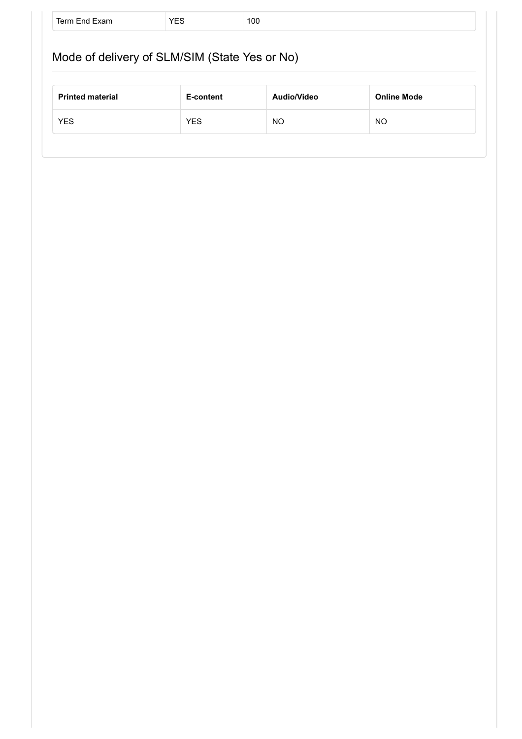| Mode of delivery of SLM/SIM (State Yes or No) |           |             |                    |  |
|-----------------------------------------------|-----------|-------------|--------------------|--|
|                                               |           |             |                    |  |
|                                               |           | Audio/Video | <b>Online Mode</b> |  |
| <b>Printed material</b>                       | E-content |             |                    |  |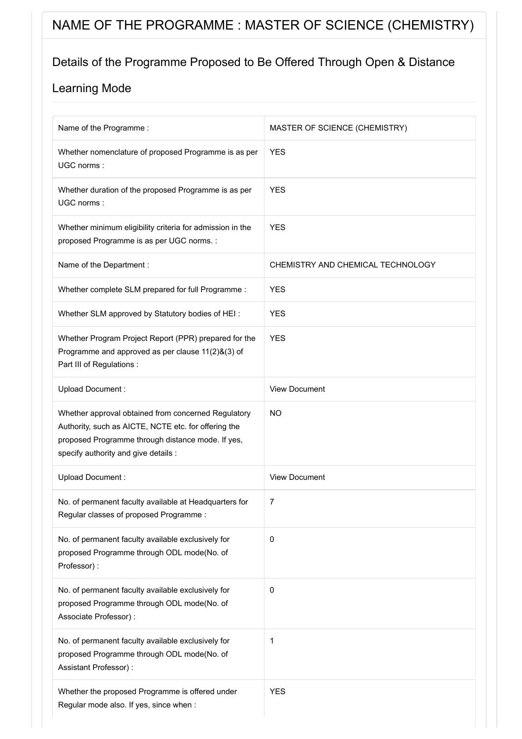# NAME OF THE PROGRAMME : MASTER OF SCIENCE (CHEMISTRY)

### Details of the Programme Proposed to Be Offered Through Open & Distance

| Name of the Programme:                                                                                                                                                                                   | MASTER OF SCIENCE (CHEMISTRY)     |
|----------------------------------------------------------------------------------------------------------------------------------------------------------------------------------------------------------|-----------------------------------|
| Whether nomenclature of proposed Programme is as per<br>UGC norms:                                                                                                                                       | <b>YES</b>                        |
| Whether duration of the proposed Programme is as per<br>UGC norms:                                                                                                                                       | <b>YES</b>                        |
| Whether minimum eligibility criteria for admission in the<br>proposed Programme is as per UGC norms. :                                                                                                   | <b>YES</b>                        |
| Name of the Department :                                                                                                                                                                                 | CHEMISTRY AND CHEMICAL TECHNOLOGY |
| Whether complete SLM prepared for full Programme :                                                                                                                                                       | <b>YES</b>                        |
| Whether SLM approved by Statutory bodies of HEI:                                                                                                                                                         | <b>YES</b>                        |
| Whether Program Project Report (PPR) prepared for the<br>Programme and approved as per clause 11(2)&(3) of<br>Part III of Regulations :                                                                  | <b>YES</b>                        |
| Upload Document:                                                                                                                                                                                         | <b>View Document</b>              |
| Whether approval obtained from concerned Regulatory<br>Authority, such as AICTE, NCTE etc. for offering the<br>proposed Programme through distance mode. If yes,<br>specify authority and give details : | <b>NO</b>                         |
| Upload Document:                                                                                                                                                                                         | <b>View Document</b>              |
| No. of permanent faculty available at Headquarters for<br>Regular classes of proposed Programme:                                                                                                         | $\overline{7}$                    |
| No. of permanent faculty available exclusively for<br>proposed Programme through ODL mode(No. of<br>Professor):                                                                                          | 0                                 |
| No. of permanent faculty available exclusively for<br>proposed Programme through ODL mode(No. of<br>Associate Professor) :                                                                               | 0                                 |
| No. of permanent faculty available exclusively for<br>proposed Programme through ODL mode(No. of<br>Assistant Professor) :                                                                               | 1                                 |
| Whether the proposed Programme is offered under<br>Regular mode also. If yes, since when :                                                                                                               | <b>YES</b>                        |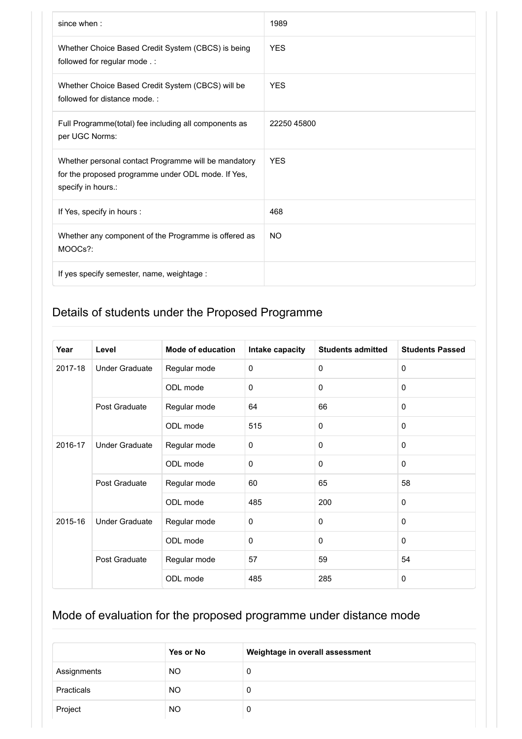| since when:                                                                                                                      | 1989        |
|----------------------------------------------------------------------------------------------------------------------------------|-------------|
| Whether Choice Based Credit System (CBCS) is being<br>followed for regular mode .:                                               | <b>YES</b>  |
| Whether Choice Based Credit System (CBCS) will be<br>followed for distance mode.:                                                | <b>YES</b>  |
| Full Programme(total) fee including all components as<br>per UGC Norms:                                                          | 22250 45800 |
| Whether personal contact Programme will be mandatory<br>for the proposed programme under ODL mode. If Yes,<br>specify in hours.: | <b>YES</b>  |
| If Yes, specify in hours :                                                                                                       | 468         |
| Whether any component of the Programme is offered as<br>MOOCs?:                                                                  | <b>NO</b>   |
| If yes specify semester, name, weightage :                                                                                       |             |

| Year    | Level                 | <b>Mode of education</b> | Intake capacity | <b>Students admitted</b> | <b>Students Passed</b> |
|---------|-----------------------|--------------------------|-----------------|--------------------------|------------------------|
| 2017-18 | <b>Under Graduate</b> | Regular mode             | 0               | $\Omega$                 | $\mathbf 0$            |
|         |                       | ODL mode                 | $\Omega$        | $\mathbf 0$              | $\mathbf{0}$           |
|         | Post Graduate         | Regular mode             | 64              | 66                       | $\mathbf 0$            |
|         |                       | ODL mode                 | 515             | $\mathbf 0$              | $\mathbf 0$            |
| 2016-17 | <b>Under Graduate</b> | Regular mode             | 0               | $\mathbf 0$              | $\mathbf{0}$           |
|         |                       | ODL mode                 | $\mathbf 0$     | $\mathbf 0$              | $\mathbf 0$            |
|         | Post Graduate         | Regular mode             | 60              | 65                       | 58                     |
|         |                       | ODL mode                 | 485             | 200                      | $\mathbf 0$            |
| 2015-16 | <b>Under Graduate</b> | Regular mode             | $\mathbf 0$     | $\mathbf 0$              | $\mathbf{0}$           |
|         |                       | ODL mode                 | $\mathbf 0$     | $\Omega$                 | $\mathbf{0}$           |
|         | Post Graduate         | Regular mode             | 57              | 59                       | 54                     |
|         |                       | ODL mode                 | 485             | 285                      | $\mathbf 0$            |

|             | Yes or No | Weightage in overall assessment |
|-------------|-----------|---------------------------------|
| Assignments | NO.       | 0                               |
| Practicals  | NO.       | 0                               |
| Project     | <b>NO</b> | 0                               |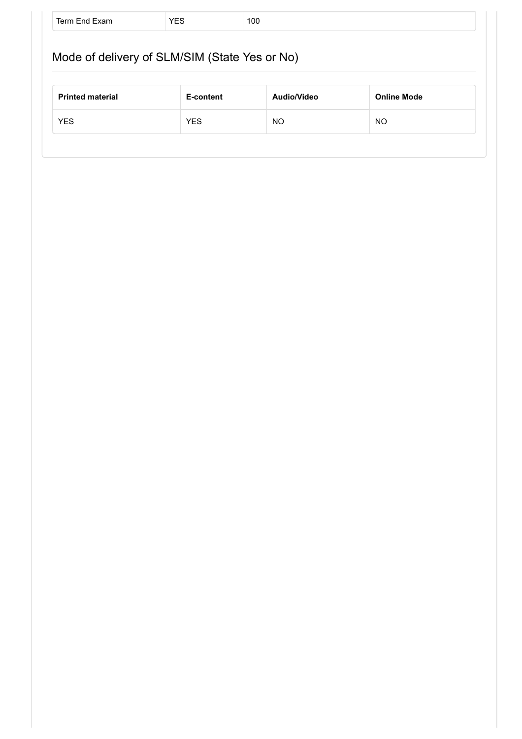| Mode of delivery of SLM/SIM (State Yes or No)                             |  |  |  |
|---------------------------------------------------------------------------|--|--|--|
| <b>Printed material</b><br><b>Online Mode</b><br>Audio/Video<br>E-content |  |  |  |
|                                                                           |  |  |  |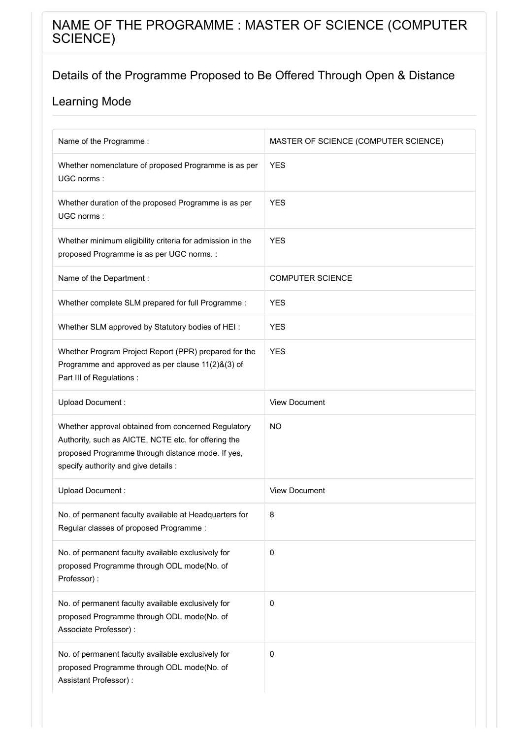## NAME OF THE PROGRAMME : MASTER OF SCIENCE (COMPUTER SCIENCE)

## Details of the Programme Proposed to Be Offered Through Open & Distance

| Name of the Programme:                                                                                                                                                                                   | MASTER OF SCIENCE (COMPUTER SCIENCE) |
|----------------------------------------------------------------------------------------------------------------------------------------------------------------------------------------------------------|--------------------------------------|
| Whether nomenclature of proposed Programme is as per<br>UGC norms:                                                                                                                                       | <b>YES</b>                           |
| Whether duration of the proposed Programme is as per<br>UGC norms:                                                                                                                                       | <b>YES</b>                           |
| Whether minimum eligibility criteria for admission in the<br>proposed Programme is as per UGC norms. :                                                                                                   | <b>YES</b>                           |
| Name of the Department :                                                                                                                                                                                 | <b>COMPUTER SCIENCE</b>              |
| Whether complete SLM prepared for full Programme :                                                                                                                                                       | <b>YES</b>                           |
| Whether SLM approved by Statutory bodies of HEI:                                                                                                                                                         | <b>YES</b>                           |
| Whether Program Project Report (PPR) prepared for the<br>Programme and approved as per clause 11(2)&(3) of<br>Part III of Regulations :                                                                  | <b>YES</b>                           |
| Upload Document:                                                                                                                                                                                         | <b>View Document</b>                 |
| Whether approval obtained from concerned Regulatory<br>Authority, such as AICTE, NCTE etc. for offering the<br>proposed Programme through distance mode. If yes,<br>specify authority and give details : | <b>NO</b>                            |
| Upload Document:                                                                                                                                                                                         | <b>View Document</b>                 |
| No. of permanent faculty available at Headquarters for<br>Regular classes of proposed Programme:                                                                                                         | 8                                    |
| No. of permanent faculty available exclusively for<br>proposed Programme through ODL mode(No. of<br>Professor):                                                                                          | 0                                    |
| No. of permanent faculty available exclusively for<br>proposed Programme through ODL mode(No. of<br>Associate Professor) :                                                                               | 0                                    |
| No. of permanent faculty available exclusively for<br>proposed Programme through ODL mode(No. of<br>Assistant Professor) :                                                                               | 0                                    |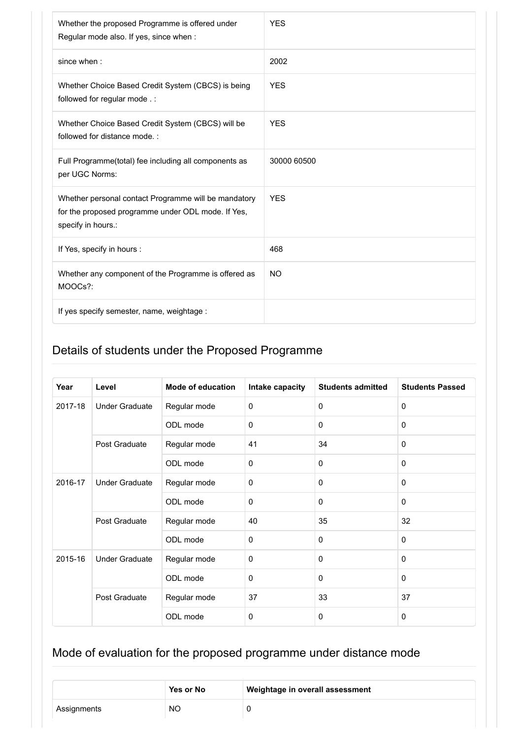| Whether the proposed Programme is offered under<br>Regular mode also. If yes, since when :                                       | <b>YES</b>  |
|----------------------------------------------------------------------------------------------------------------------------------|-------------|
| since when:                                                                                                                      | 2002        |
| Whether Choice Based Credit System (CBCS) is being<br>followed for regular mode .:                                               | <b>YES</b>  |
| Whether Choice Based Credit System (CBCS) will be<br>followed for distance mode.:                                                | <b>YES</b>  |
| Full Programme(total) fee including all components as<br>per UGC Norms:                                                          | 30000 60500 |
| Whether personal contact Programme will be mandatory<br>for the proposed programme under ODL mode. If Yes,<br>specify in hours.: | <b>YES</b>  |
| If Yes, specify in hours :                                                                                                       | 468         |
| Whether any component of the Programme is offered as<br>MOOCs?:                                                                  | <b>NO</b>   |
| If yes specify semester, name, weightage :                                                                                       |             |

| Year    | Level                 | <b>Mode of education</b> | Intake capacity | <b>Students admitted</b> | <b>Students Passed</b> |
|---------|-----------------------|--------------------------|-----------------|--------------------------|------------------------|
| 2017-18 | <b>Under Graduate</b> | Regular mode             | $\mathbf 0$     | $\mathbf 0$              | $\mathbf{0}$           |
|         |                       | ODL mode                 | $\mathbf 0$     | $\Omega$                 | $\mathbf{0}$           |
|         | Post Graduate         | Regular mode             | 41              | 34                       | $\mathbf{0}$           |
|         |                       | ODL mode                 | $\mathbf 0$     | $\mathbf 0$              | $\mathbf 0$            |
| 2016-17 | <b>Under Graduate</b> | Regular mode             | $\mathbf 0$     | $\Omega$                 | $\mathbf{0}$           |
|         |                       | ODL mode                 | $\Omega$        | $\Omega$                 | $\mathbf{0}$           |
|         | Post Graduate         | Regular mode             | 40              | 35                       | 32                     |
|         |                       | ODL mode                 | $\Omega$        | $\Omega$                 | $\mathbf{0}$           |
| 2015-16 | <b>Under Graduate</b> | Regular mode             | $\mathbf 0$     | $\Omega$                 | $\mathbf{0}$           |
|         |                       | ODL mode                 | $\mathbf 0$     | $\Omega$                 | $\mathbf{0}$           |
|         | Post Graduate         | Regular mode             | 37              | 33                       | 37                     |
|         |                       | ODL mode                 | $\mathbf 0$     | $\mathbf 0$              | 0                      |

|             | <b>Yes or No</b> | Weightage in overall assessment |
|-------------|------------------|---------------------------------|
| Assignments | <b>NO</b>        |                                 |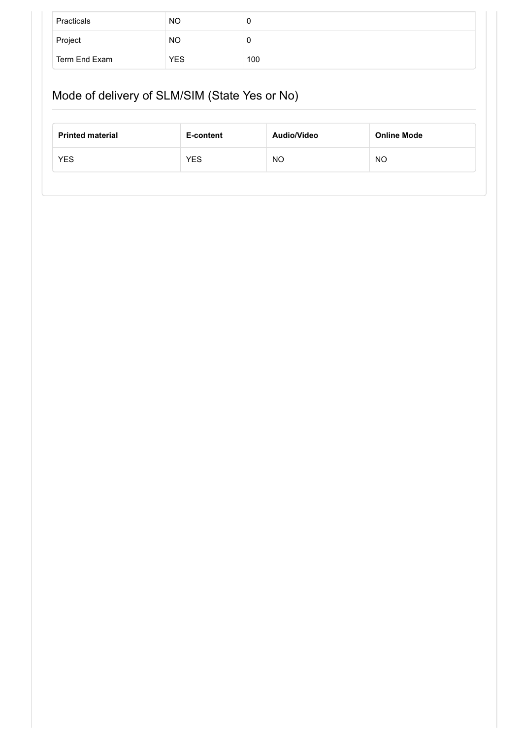| Practicals    | <b>NO</b>  | J   |
|---------------|------------|-----|
| Project       | <b>NO</b>  | U   |
| Term End Exam | <b>YES</b> | 100 |

# Mode of delivery of SLM/SIM (State Yes or No)

| <b>Printed material</b> | E-content  | Audio/Video | <b>Online Mode</b> |
|-------------------------|------------|-------------|--------------------|
| <b>YES</b>              | <b>YES</b> | NO          | ΝO                 |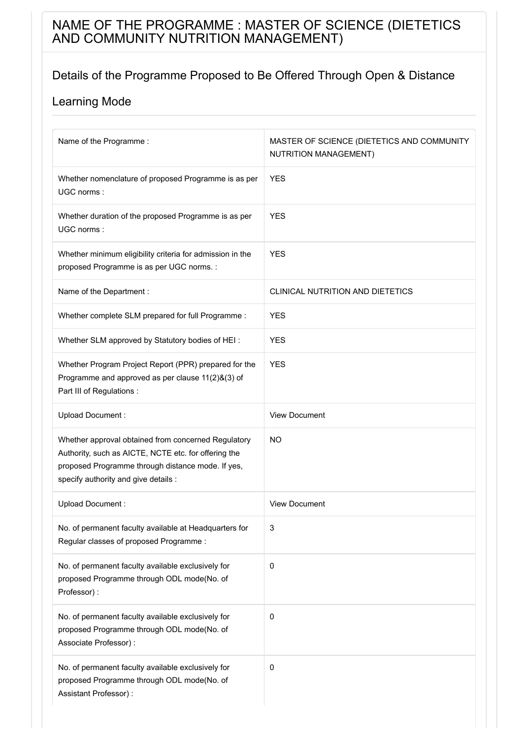## NAME OF THE PROGRAMME : MASTER OF SCIENCE (DIETETICS AND COMMUNITY NUTRITION MANAGEMENT)

### Details of the Programme Proposed to Be Offered Through Open & Distance

| Name of the Programme:                                                                                                                                                                                   | MASTER OF SCIENCE (DIETETICS AND COMMUNITY<br>NUTRITION MANAGEMENT) |
|----------------------------------------------------------------------------------------------------------------------------------------------------------------------------------------------------------|---------------------------------------------------------------------|
| Whether nomenclature of proposed Programme is as per<br>UGC norms:                                                                                                                                       | <b>YES</b>                                                          |
| Whether duration of the proposed Programme is as per<br>UGC norms:                                                                                                                                       | <b>YES</b>                                                          |
| Whether minimum eligibility criteria for admission in the<br>proposed Programme is as per UGC norms. :                                                                                                   | <b>YES</b>                                                          |
| Name of the Department :                                                                                                                                                                                 | <b>CLINICAL NUTRITION AND DIETETICS</b>                             |
| Whether complete SLM prepared for full Programme :                                                                                                                                                       | <b>YES</b>                                                          |
| Whether SLM approved by Statutory bodies of HEI:                                                                                                                                                         | <b>YES</b>                                                          |
| Whether Program Project Report (PPR) prepared for the<br>Programme and approved as per clause 11(2)&(3) of<br>Part III of Regulations :                                                                  | <b>YES</b>                                                          |
| Upload Document:                                                                                                                                                                                         | <b>View Document</b>                                                |
| Whether approval obtained from concerned Regulatory<br>Authority, such as AICTE, NCTE etc. for offering the<br>proposed Programme through distance mode. If yes,<br>specify authority and give details : | NO.                                                                 |
| Upload Document:                                                                                                                                                                                         | <b>View Document</b>                                                |
| No. of permanent faculty available at Headquarters for<br>Regular classes of proposed Programme:                                                                                                         | 3                                                                   |
| No. of permanent faculty available exclusively for<br>proposed Programme through ODL mode(No. of<br>Professor):                                                                                          | 0                                                                   |
| No. of permanent faculty available exclusively for<br>proposed Programme through ODL mode(No. of<br>Associate Professor) :                                                                               | $\pmb{0}$                                                           |
| No. of permanent faculty available exclusively for<br>proposed Programme through ODL mode(No. of<br>Assistant Professor) :                                                                               | $\pmb{0}$                                                           |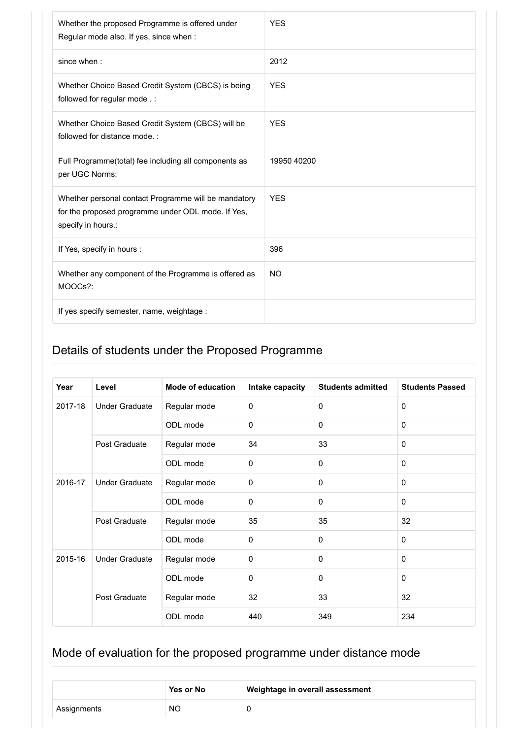| Whether the proposed Programme is offered under<br>Regular mode also. If yes, since when :                                       | <b>YES</b>  |
|----------------------------------------------------------------------------------------------------------------------------------|-------------|
| since when:                                                                                                                      | 2012        |
| Whether Choice Based Credit System (CBCS) is being<br>followed for regular mode . :                                              | <b>YFS</b>  |
| Whether Choice Based Credit System (CBCS) will be<br>followed for distance mode.:                                                | <b>YES</b>  |
| Full Programme(total) fee including all components as<br>per UGC Norms:                                                          | 19950 40200 |
| Whether personal contact Programme will be mandatory<br>for the proposed programme under ODL mode. If Yes,<br>specify in hours.: | <b>YES</b>  |
| If Yes, specify in hours :                                                                                                       | 396         |
| Whether any component of the Programme is offered as<br>MOOCs?:                                                                  | <b>NO</b>   |
| If yes specify semester, name, weightage :                                                                                       |             |

| Year    | Level                 | Mode of education | Intake capacity | <b>Students admitted</b> | <b>Students Passed</b> |
|---------|-----------------------|-------------------|-----------------|--------------------------|------------------------|
| 2017-18 | <b>Under Graduate</b> | Regular mode      | $\mathbf 0$     | $\mathbf 0$              | $\mathbf 0$            |
|         |                       | ODL mode          | $\mathbf 0$     | $\mathbf 0$              | $\mathbf 0$            |
|         | Post Graduate         | Regular mode      | 34              | 33                       | $\mathbf{0}$           |
|         |                       | ODL mode          | $\mathbf{0}$    | $\mathbf 0$              | $\mathbf{0}$           |
| 2016-17 | <b>Under Graduate</b> | Regular mode      | $\mathbf 0$     | $\mathbf 0$              | $\mathbf{0}$           |
|         |                       | ODL mode          | $\mathbf 0$     | $\mathbf 0$              | $\mathbf{0}$           |
|         | Post Graduate         | Regular mode      | 35              | 35                       | 32                     |
|         |                       | ODL mode          | $\mathbf{0}$    | $\Omega$                 | $\mathbf{0}$           |
| 2015-16 | <b>Under Graduate</b> | Regular mode      | $\mathbf 0$     | $\mathbf 0$              | $\mathbf 0$            |
|         |                       | ODL mode          | $\mathbf 0$     | $\mathbf 0$              | $\mathbf 0$            |
|         | Post Graduate         | Regular mode      | 32              | 33                       | 32                     |
|         |                       | ODL mode          | 440             | 349                      | 234                    |

|             | Yes or No | Weightage in overall assessment |
|-------------|-----------|---------------------------------|
| Assignments | <b>NO</b> |                                 |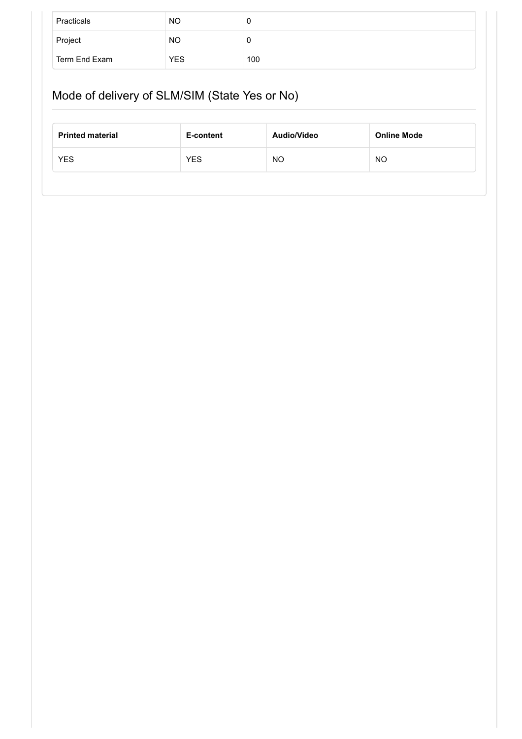| Practicals    | <b>NO</b>  | υ   |
|---------------|------------|-----|
| Project       | <b>NO</b>  | υ   |
| Term End Exam | <b>YES</b> | 100 |

# Mode of delivery of SLM/SIM (State Yes or No)

| <b>Printed material</b> | E-content  | Audio/Video | <b>Online Mode</b> |
|-------------------------|------------|-------------|--------------------|
| <b>YES</b>              | <b>YES</b> | <b>NO</b>   | <b>NO</b>          |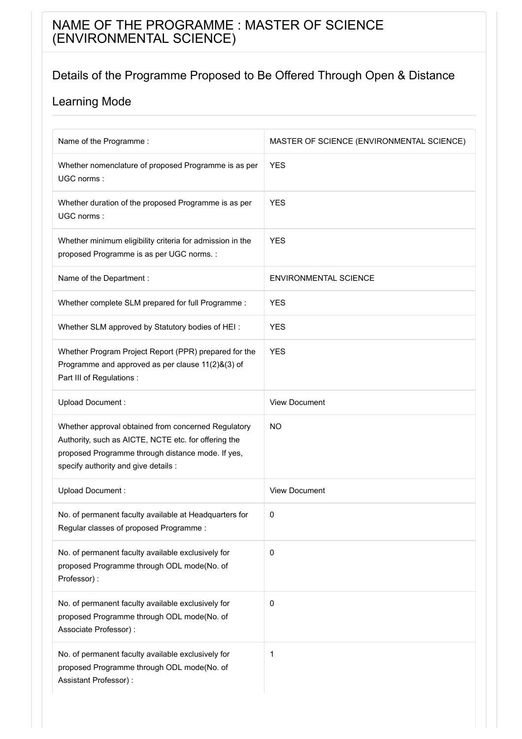## NAME OF THE PROGRAMME : MASTER OF SCIENCE (ENVIRONMENTAL SCIENCE)

## Details of the Programme Proposed to Be Offered Through Open & Distance

| Name of the Programme:                                                                                                                                                                                   | MASTER OF SCIENCE (ENVIRONMENTAL SCIENCE) |
|----------------------------------------------------------------------------------------------------------------------------------------------------------------------------------------------------------|-------------------------------------------|
| Whether nomenclature of proposed Programme is as per<br>UGC norms:                                                                                                                                       | <b>YES</b>                                |
| Whether duration of the proposed Programme is as per<br>UGC norms:                                                                                                                                       | <b>YES</b>                                |
| Whether minimum eligibility criteria for admission in the<br>proposed Programme is as per UGC norms. :                                                                                                   | <b>YES</b>                                |
| Name of the Department :                                                                                                                                                                                 | <b>ENVIRONMENTAL SCIENCE</b>              |
| Whether complete SLM prepared for full Programme :                                                                                                                                                       | <b>YES</b>                                |
| Whether SLM approved by Statutory bodies of HEI:                                                                                                                                                         | <b>YES</b>                                |
| Whether Program Project Report (PPR) prepared for the<br>Programme and approved as per clause 11(2)&(3) of<br>Part III of Regulations :                                                                  | <b>YES</b>                                |
| Upload Document:                                                                                                                                                                                         | <b>View Document</b>                      |
| Whether approval obtained from concerned Regulatory<br>Authority, such as AICTE, NCTE etc. for offering the<br>proposed Programme through distance mode. If yes,<br>specify authority and give details : | <b>NO</b>                                 |
| Upload Document:                                                                                                                                                                                         | <b>View Document</b>                      |
| No. of permanent faculty available at Headquarters for<br>Regular classes of proposed Programme:                                                                                                         | 0                                         |
| No. of permanent faculty available exclusively for<br>proposed Programme through ODL mode(No. of<br>Professor):                                                                                          | 0                                         |
| No. of permanent faculty available exclusively for<br>proposed Programme through ODL mode(No. of<br>Associate Professor) :                                                                               | 0                                         |
| No. of permanent faculty available exclusively for<br>proposed Programme through ODL mode(No. of<br>Assistant Professor) :                                                                               | 1                                         |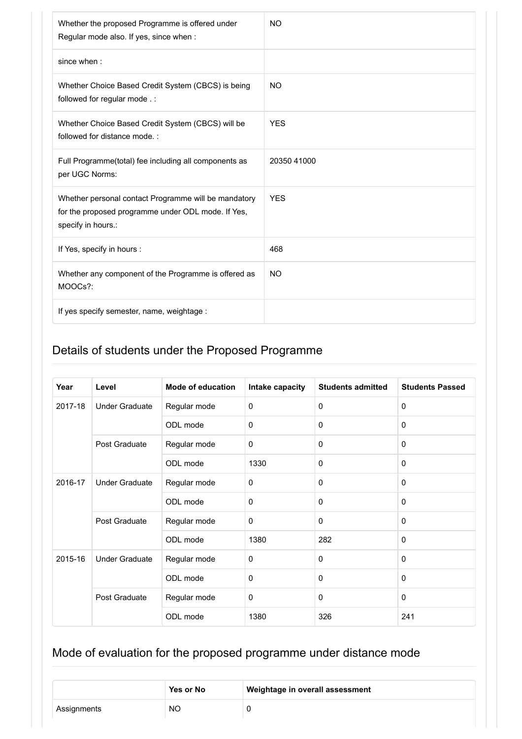| Whether the proposed Programme is offered under<br>Regular mode also. If yes, since when :                                       | <b>NO</b>   |
|----------------------------------------------------------------------------------------------------------------------------------|-------------|
| since when:                                                                                                                      |             |
| Whether Choice Based Credit System (CBCS) is being<br>followed for regular mode .:                                               | <b>NO</b>   |
| Whether Choice Based Credit System (CBCS) will be<br>followed for distance mode.:                                                | <b>YES</b>  |
| Full Programme(total) fee including all components as<br>per UGC Norms:                                                          | 20350 41000 |
| Whether personal contact Programme will be mandatory<br>for the proposed programme under ODL mode. If Yes,<br>specify in hours.: | <b>YFS</b>  |
| If Yes, specify in hours :                                                                                                       | 468         |
| Whether any component of the Programme is offered as<br>MOOCs?:                                                                  | <b>NO</b>   |
| If yes specify semester, name, weightage :                                                                                       |             |

| Year                     | Level                 | <b>Mode of education</b> | Intake capacity | <b>Students admitted</b> | <b>Students Passed</b> |
|--------------------------|-----------------------|--------------------------|-----------------|--------------------------|------------------------|
| 2017-18                  | <b>Under Graduate</b> | Regular mode             | $\mathbf 0$     | $\mathbf 0$              | $\Omega$               |
|                          |                       | ODL mode                 | $\mathbf 0$     | $\mathbf 0$              | 0                      |
|                          | Post Graduate         | Regular mode             | $\mathbf 0$     | $\Omega$                 | $\mathbf{0}$           |
|                          |                       | ODL mode                 | 1330            | $\mathbf 0$              | $\mathbf 0$            |
| 2016-17<br>Post Graduate | <b>Under Graduate</b> | Regular mode             | $\mathbf 0$     | $\Omega$                 | $\Omega$               |
|                          |                       | ODL mode                 | $\mathbf 0$     | $\mathbf{0}$             | $\Omega$               |
|                          |                       | Regular mode             | $\mathbf 0$     | $\mathbf 0$              | $\mathbf{0}$           |
|                          |                       | ODL mode                 | 1380            | 282                      | $\Omega$               |
| 2015-16                  | <b>Under Graduate</b> | Regular mode             | $\mathbf 0$     | $\mathbf 0$              | $\Omega$               |
|                          |                       | ODL mode                 | $\mathbf 0$     | $\mathbf 0$              | $\mathbf 0$            |
|                          | Post Graduate         | Regular mode             | $\mathbf 0$     | $\Omega$                 | $\mathbf 0$            |
|                          |                       | ODL mode                 | 1380            | 326                      | 241                    |

|             | Yes or No | Weightage in overall assessment |
|-------------|-----------|---------------------------------|
| Assignments | <b>NO</b> |                                 |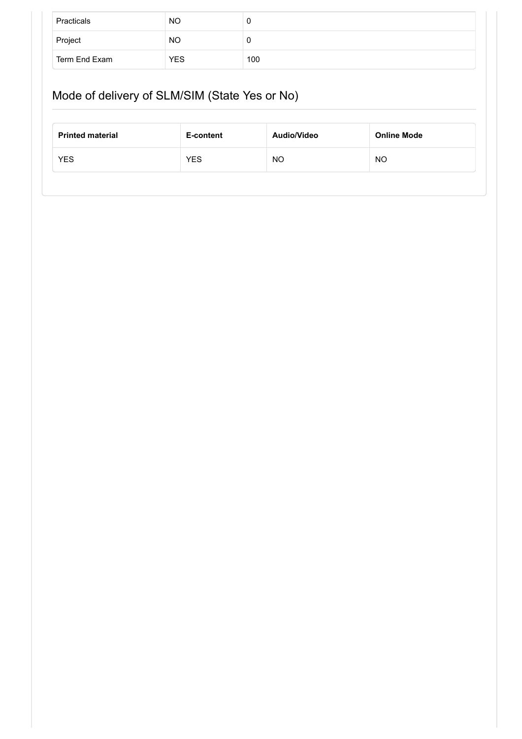| Practicals    | <b>NO</b>  | U   |
|---------------|------------|-----|
| Project       | <b>NO</b>  | U   |
| Term End Exam | <b>YES</b> | 100 |

# Mode of delivery of SLM/SIM (State Yes or No)

| <b>Printed material</b> | E-content  | Audio/Video | <b>Online Mode</b> |
|-------------------------|------------|-------------|--------------------|
| <b>YES</b>              | <b>YES</b> | NO          | NO                 |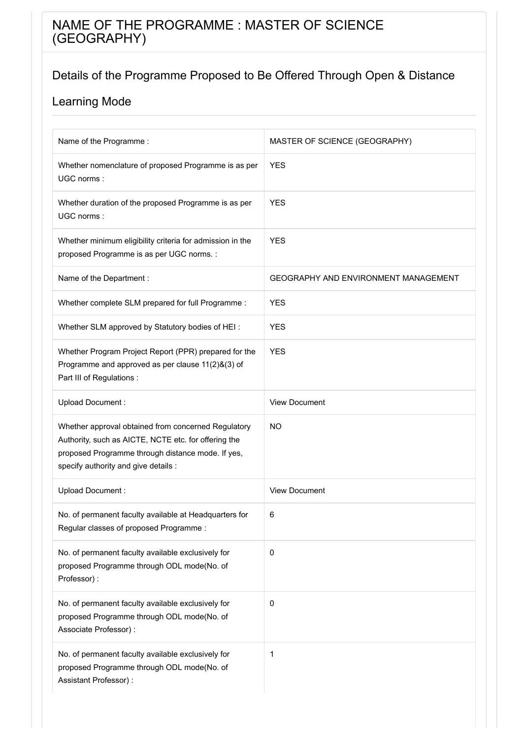## NAME OF THE PROGRAMME : MASTER OF SCIENCE (GEOGRAPHY)

## Details of the Programme Proposed to Be Offered Through Open & Distance

| Name of the Programme :                                                                                                                                                                                  | MASTER OF SCIENCE (GEOGRAPHY)               |
|----------------------------------------------------------------------------------------------------------------------------------------------------------------------------------------------------------|---------------------------------------------|
| Whether nomenclature of proposed Programme is as per<br>UGC norms:                                                                                                                                       | <b>YES</b>                                  |
| Whether duration of the proposed Programme is as per<br>UGC norms:                                                                                                                                       | <b>YES</b>                                  |
| Whether minimum eligibility criteria for admission in the<br>proposed Programme is as per UGC norms. :                                                                                                   | <b>YES</b>                                  |
| Name of the Department :                                                                                                                                                                                 | <b>GEOGRAPHY AND ENVIRONMENT MANAGEMENT</b> |
| Whether complete SLM prepared for full Programme :                                                                                                                                                       | <b>YES</b>                                  |
| Whether SLM approved by Statutory bodies of HEI:                                                                                                                                                         | <b>YES</b>                                  |
| Whether Program Project Report (PPR) prepared for the<br>Programme and approved as per clause 11(2)&(3) of<br>Part III of Regulations :                                                                  | <b>YES</b>                                  |
| Upload Document:                                                                                                                                                                                         | <b>View Document</b>                        |
| Whether approval obtained from concerned Regulatory<br>Authority, such as AICTE, NCTE etc. for offering the<br>proposed Programme through distance mode. If yes,<br>specify authority and give details : | <b>NO</b>                                   |
| Upload Document:                                                                                                                                                                                         | <b>View Document</b>                        |
| No. of permanent faculty available at Headquarters for<br>Regular classes of proposed Programme:                                                                                                         | 6                                           |
| No. of permanent faculty available exclusively for<br>proposed Programme through ODL mode(No. of<br>Professor):                                                                                          | 0                                           |
| No. of permanent faculty available exclusively for<br>proposed Programme through ODL mode(No. of<br>Associate Professor) :                                                                               | 0                                           |
| No. of permanent faculty available exclusively for<br>proposed Programme through ODL mode(No. of<br>Assistant Professor) :                                                                               | 1                                           |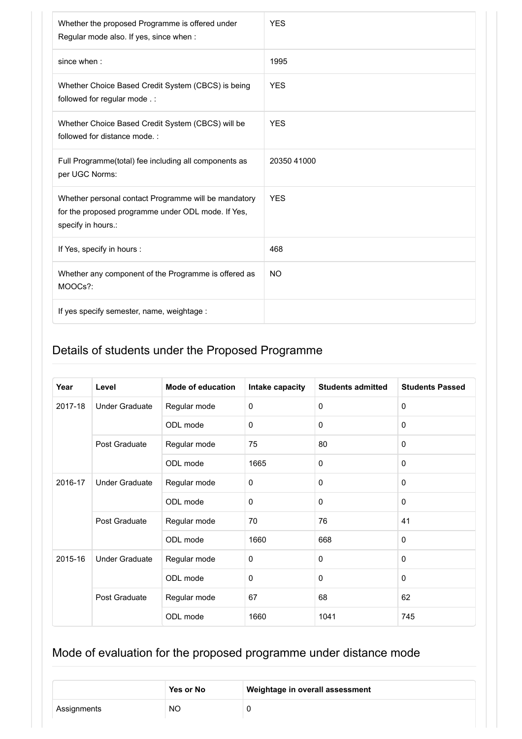| Whether the proposed Programme is offered under<br>Regular mode also. If yes, since when :                                       | <b>YES</b>  |
|----------------------------------------------------------------------------------------------------------------------------------|-------------|
| since when:                                                                                                                      | 1995        |
| Whether Choice Based Credit System (CBCS) is being<br>followed for regular mode .:                                               | <b>YES</b>  |
| Whether Choice Based Credit System (CBCS) will be<br>followed for distance mode.:                                                | <b>YES</b>  |
| Full Programme(total) fee including all components as<br>per UGC Norms:                                                          | 20350 41000 |
| Whether personal contact Programme will be mandatory<br>for the proposed programme under ODL mode. If Yes,<br>specify in hours.: | <b>YES</b>  |
| If Yes, specify in hours :                                                                                                       | 468         |
| Whether any component of the Programme is offered as<br>MOOCs?:                                                                  | <b>NO</b>   |
| If yes specify semester, name, weightage :                                                                                       |             |

| Year    | Level                 | <b>Mode of education</b> | Intake capacity | <b>Students admitted</b> | <b>Students Passed</b> |
|---------|-----------------------|--------------------------|-----------------|--------------------------|------------------------|
| 2017-18 | <b>Under Graduate</b> | Regular mode             | $\mathbf 0$     | $\mathbf 0$              | $\mathbf 0$            |
|         |                       | ODL mode                 | $\mathbf 0$     | $\mathbf 0$              | $\mathbf 0$            |
|         | Post Graduate         | Regular mode             | 75              | 80                       | $\mathbf{0}$           |
|         |                       | ODL mode                 | 1665            | $\mathbf 0$              | $\mathbf 0$            |
| 2016-17 | <b>Under Graduate</b> | Regular mode             | $\mathbf 0$     | $\mathbf 0$              | $\mathbf{0}$           |
|         |                       | ODL mode                 | $\mathbf 0$     | $\mathbf 0$              | $\mathbf{0}$           |
|         | Post Graduate         | Regular mode             | 70              | 76                       | 41                     |
|         |                       | ODL mode                 | 1660            | 668                      | $\mathbf 0$            |
| 2015-16 | <b>Under Graduate</b> | Regular mode             | $\mathbf 0$     | $\mathbf 0$              | $\mathbf{0}$           |
|         |                       | ODL mode                 | $\mathbf 0$     | $\mathbf 0$              | $\mathbf 0$            |
|         | Post Graduate         | Regular mode             | 67              | 68                       | 62                     |
|         |                       | ODL mode                 | 1660            | 1041                     | 745                    |

|             | Yes or No | Weightage in overall assessment |
|-------------|-----------|---------------------------------|
| Assignments | <b>NO</b> |                                 |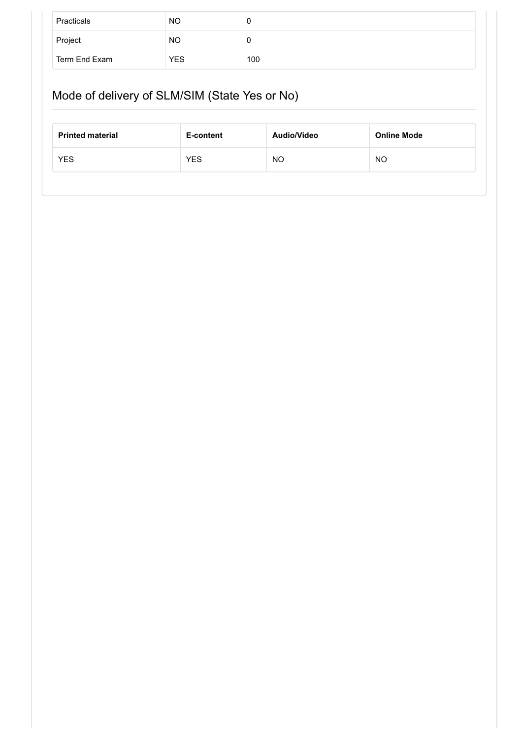| Practicals    | <b>NO</b>  | u   |
|---------------|------------|-----|
| Project       | <b>NO</b>  | u   |
| Term End Exam | <b>YES</b> | 100 |

# Mode of delivery of SLM/SIM (State Yes or No)

| <b>Printed material</b> | E-content  | Audio/Video | <b>Online Mode</b> |
|-------------------------|------------|-------------|--------------------|
| <b>YES</b>              | <b>YES</b> | NO          | ΝO                 |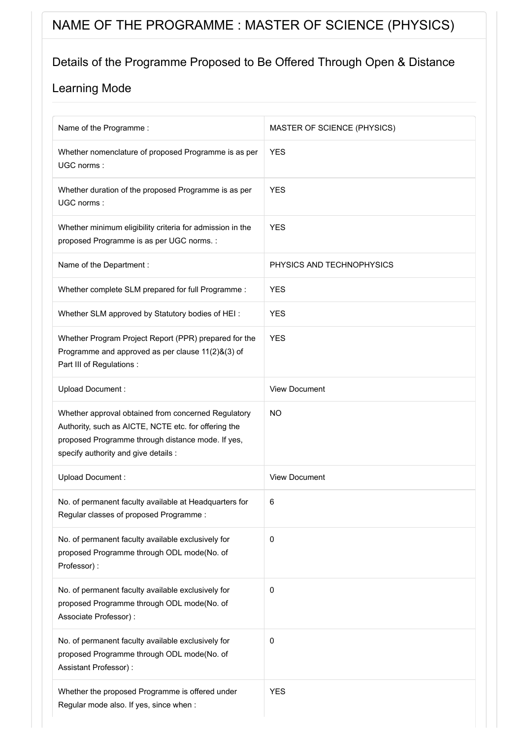# NAME OF THE PROGRAMME : MASTER OF SCIENCE (PHYSICS)

### Details of the Programme Proposed to Be Offered Through Open & Distance

| Name of the Programme:                                                                                                                                                                                   | MASTER OF SCIENCE (PHYSICS) |
|----------------------------------------------------------------------------------------------------------------------------------------------------------------------------------------------------------|-----------------------------|
| Whether nomenclature of proposed Programme is as per<br>UGC norms:                                                                                                                                       | <b>YES</b>                  |
| Whether duration of the proposed Programme is as per<br>UGC norms:                                                                                                                                       | <b>YES</b>                  |
| Whether minimum eligibility criteria for admission in the<br>proposed Programme is as per UGC norms. :                                                                                                   | <b>YES</b>                  |
| Name of the Department :                                                                                                                                                                                 | PHYSICS AND TECHNOPHYSICS   |
| Whether complete SLM prepared for full Programme :                                                                                                                                                       | <b>YES</b>                  |
| Whether SLM approved by Statutory bodies of HEI:                                                                                                                                                         | <b>YES</b>                  |
| Whether Program Project Report (PPR) prepared for the<br>Programme and approved as per clause 11(2)&(3) of<br>Part III of Regulations :                                                                  | <b>YES</b>                  |
| Upload Document:                                                                                                                                                                                         | <b>View Document</b>        |
| Whether approval obtained from concerned Regulatory<br>Authority, such as AICTE, NCTE etc. for offering the<br>proposed Programme through distance mode. If yes,<br>specify authority and give details : | <b>NO</b>                   |
| Upload Document:                                                                                                                                                                                         | <b>View Document</b>        |
| No. of permanent faculty available at Headquarters for<br>Regular classes of proposed Programme:                                                                                                         | 6                           |
| No. of permanent faculty available exclusively for<br>proposed Programme through ODL mode(No. of<br>Professor):                                                                                          | 0                           |
| No. of permanent faculty available exclusively for<br>proposed Programme through ODL mode(No. of<br>Associate Professor) :                                                                               | 0                           |
| No. of permanent faculty available exclusively for<br>proposed Programme through ODL mode(No. of<br>Assistant Professor) :                                                                               | 0                           |
| Whether the proposed Programme is offered under<br>Regular mode also. If yes, since when :                                                                                                               | <b>YES</b>                  |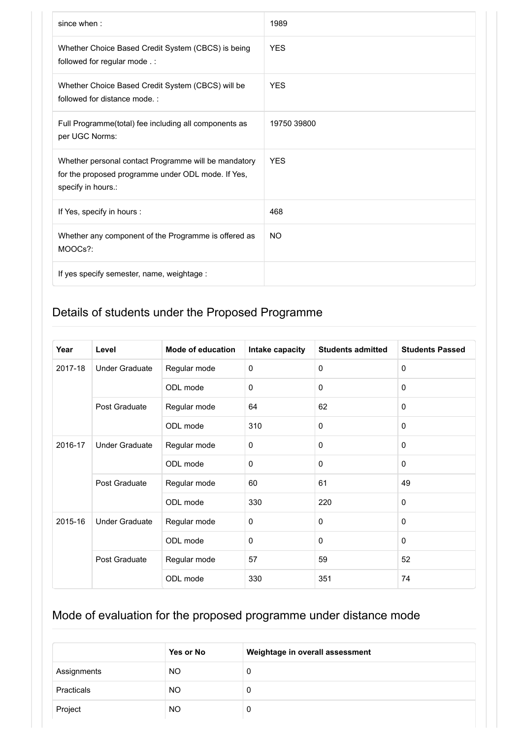| since when:                                                                                                                      | 1989        |
|----------------------------------------------------------------------------------------------------------------------------------|-------------|
| Whether Choice Based Credit System (CBCS) is being<br>followed for regular mode .:                                               | <b>YES</b>  |
| Whether Choice Based Credit System (CBCS) will be<br>followed for distance mode.:                                                | <b>YFS</b>  |
| Full Programme(total) fee including all components as<br>per UGC Norms:                                                          | 19750 39800 |
| Whether personal contact Programme will be mandatory<br>for the proposed programme under ODL mode. If Yes,<br>specify in hours.: | <b>YES</b>  |
| If Yes, specify in hours :                                                                                                       | 468         |
| Whether any component of the Programme is offered as<br>MOOCs?:                                                                  | <b>NO</b>   |
| If yes specify semester, name, weightage :                                                                                       |             |

| Year    | Level                 | <b>Mode of education</b> | Intake capacity | <b>Students admitted</b> | <b>Students Passed</b> |
|---------|-----------------------|--------------------------|-----------------|--------------------------|------------------------|
| 2017-18 | <b>Under Graduate</b> | Regular mode             | 0               | $\Omega$                 | $\mathbf 0$            |
|         |                       | ODL mode                 | $\Omega$        | $\Omega$                 | $\mathbf{0}$           |
|         | Post Graduate         | Regular mode             | 64              | 62                       | $\mathbf{0}$           |
|         |                       | ODL mode                 | 310             | $\Omega$                 | $\mathbf{0}$           |
| 2016-17 | <b>Under Graduate</b> | Regular mode             | 0               | $\mathbf 0$              | $\mathbf{0}$           |
|         |                       | ODL mode                 | 0               | $\mathbf 0$              | $\mathbf{0}$           |
|         | Post Graduate         | Regular mode             | 60              | 61                       | 49                     |
|         |                       | ODL mode                 | 330             | 220                      | $\Omega$               |
| 2015-16 | <b>Under Graduate</b> | Regular mode             | 0               | $\mathbf 0$              | $\mathbf 0$            |
|         |                       | ODL mode                 | 0               | $\Omega$                 | $\mathbf{0}$           |
|         | Post Graduate         | Regular mode             | 57              | 59                       | 52                     |
|         |                       | ODL mode                 | 330             | 351                      | 74                     |

|             | Yes or No | Weightage in overall assessment |
|-------------|-----------|---------------------------------|
| Assignments | NO.       | 0                               |
| Practicals  | NO.       | 0                               |
| Project     | <b>NO</b> | 0                               |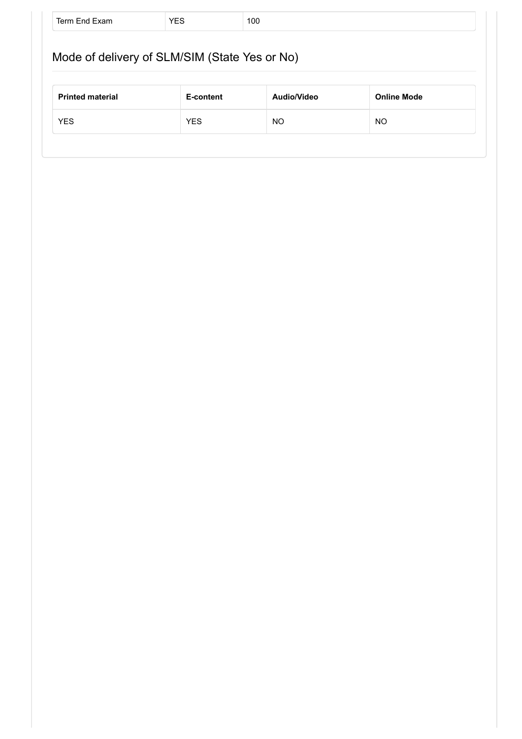|                         | Mode of delivery of SLM/SIM (State Yes or No) |             |                    |
|-------------------------|-----------------------------------------------|-------------|--------------------|
|                         |                                               |             |                    |
|                         |                                               |             |                    |
| <b>Printed material</b> | E-content                                     | Audio/Video | <b>Online Mode</b> |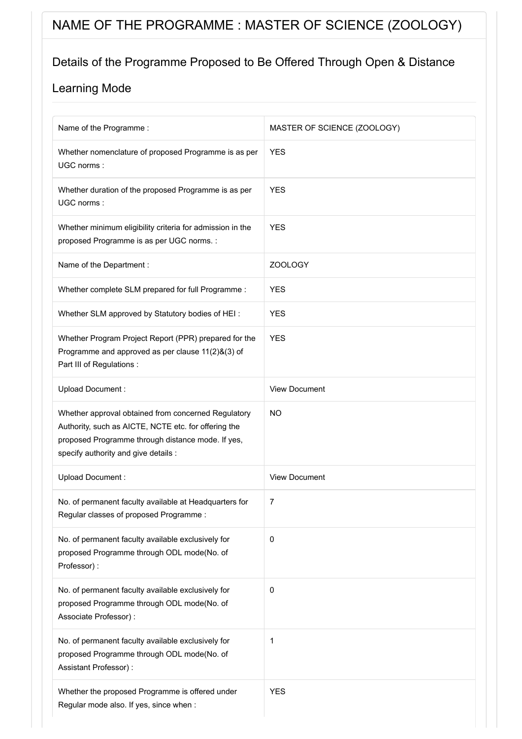# NAME OF THE PROGRAMME : MASTER OF SCIENCE (ZOOLOGY)

### Details of the Programme Proposed to Be Offered Through Open & Distance

| Name of the Programme :                                                                                                                                                                                  | MASTER OF SCIENCE (ZOOLOGY) |
|----------------------------------------------------------------------------------------------------------------------------------------------------------------------------------------------------------|-----------------------------|
| Whether nomenclature of proposed Programme is as per<br>UGC norms:                                                                                                                                       | <b>YES</b>                  |
| Whether duration of the proposed Programme is as per<br>UGC norms:                                                                                                                                       | <b>YES</b>                  |
| Whether minimum eligibility criteria for admission in the<br>proposed Programme is as per UGC norms. :                                                                                                   | <b>YES</b>                  |
| Name of the Department :                                                                                                                                                                                 | <b>ZOOLOGY</b>              |
| Whether complete SLM prepared for full Programme :                                                                                                                                                       | <b>YES</b>                  |
| Whether SLM approved by Statutory bodies of HEI:                                                                                                                                                         | <b>YES</b>                  |
| Whether Program Project Report (PPR) prepared for the<br>Programme and approved as per clause 11(2)&(3) of<br>Part III of Regulations :                                                                  | <b>YES</b>                  |
| Upload Document:                                                                                                                                                                                         | <b>View Document</b>        |
| Whether approval obtained from concerned Regulatory<br>Authority, such as AICTE, NCTE etc. for offering the<br>proposed Programme through distance mode. If yes,<br>specify authority and give details : | <b>NO</b>                   |
| Upload Document:                                                                                                                                                                                         | <b>View Document</b>        |
| No. of permanent faculty available at Headquarters for<br>Regular classes of proposed Programme:                                                                                                         | 7                           |
| No. of permanent faculty available exclusively for<br>proposed Programme through ODL mode(No. of<br>Professor):                                                                                          | $\pmb{0}$                   |
| No. of permanent faculty available exclusively for<br>proposed Programme through ODL mode(No. of<br>Associate Professor) :                                                                               | $\pmb{0}$                   |
| No. of permanent faculty available exclusively for<br>proposed Programme through ODL mode(No. of<br>Assistant Professor) :                                                                               | 1                           |
| Whether the proposed Programme is offered under<br>Regular mode also. If yes, since when :                                                                                                               | <b>YES</b>                  |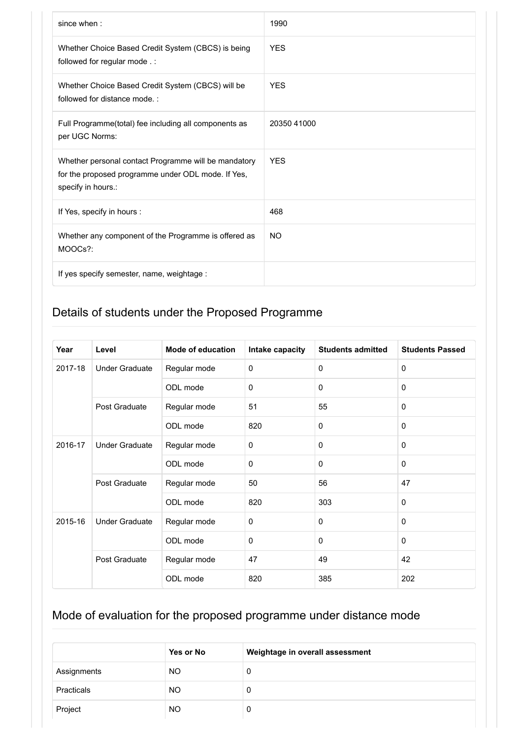| since when:                                                                                                                      | 1990        |
|----------------------------------------------------------------------------------------------------------------------------------|-------------|
| Whether Choice Based Credit System (CBCS) is being<br>followed for regular mode .:                                               | <b>YES</b>  |
| Whether Choice Based Credit System (CBCS) will be<br>followed for distance mode.:                                                | <b>YES</b>  |
| Full Programme(total) fee including all components as<br>per UGC Norms:                                                          | 20350 41000 |
| Whether personal contact Programme will be mandatory<br>for the proposed programme under ODL mode. If Yes,<br>specify in hours.: | <b>YES</b>  |
| If Yes, specify in hours :                                                                                                       | 468         |
| Whether any component of the Programme is offered as<br>MOOCs?:                                                                  | <b>NO</b>   |
| If yes specify semester, name, weightage :                                                                                       |             |

| Year    | Level                 | <b>Mode of education</b> | Intake capacity | <b>Students admitted</b> | <b>Students Passed</b> |
|---------|-----------------------|--------------------------|-----------------|--------------------------|------------------------|
| 2017-18 | <b>Under Graduate</b> | Regular mode             | 0               | $\Omega$                 | $\mathbf 0$            |
|         |                       | ODL mode                 | $\Omega$        | $\Omega$                 | $\mathbf{0}$           |
|         | Post Graduate         | Regular mode             | 51              | 55                       | $\mathbf 0$            |
|         |                       | ODL mode                 | 820             | $\Omega$                 | $\Omega$               |
| 2016-17 | <b>Under Graduate</b> | Regular mode             | 0               | $\mathbf 0$              | $\mathbf{0}$           |
|         |                       | ODL mode                 | 0               | $\mathbf 0$              | $\mathbf{0}$           |
|         | Post Graduate         | Regular mode             | 50              | 56                       | 47                     |
|         |                       | ODL mode                 | 820             | 303                      | $\Omega$               |
| 2015-16 | <b>Under Graduate</b> | Regular mode             | 0               | $\mathbf 0$              | $\mathbf 0$            |
|         |                       | ODL mode                 | 0               | $\Omega$                 | $\mathbf{0}$           |
|         | Post Graduate         | Regular mode             | 47              | 49                       | 42                     |
|         |                       | ODL mode                 | 820             | 385                      | 202                    |

|             | Yes or No | Weightage in overall assessment |
|-------------|-----------|---------------------------------|
| Assignments | <b>NO</b> | 0                               |
| Practicals  | NO.       | 0                               |
| Project     | NO.       | 0                               |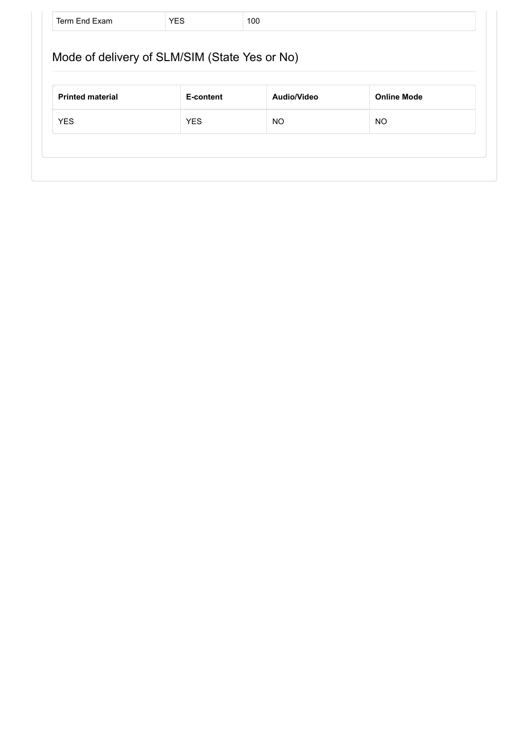| <b>Printed material</b> | E-content  | Audio/Video | <b>Online Mode</b> |
|-------------------------|------------|-------------|--------------------|
| <b>YES</b>              | <b>YES</b> | NO.         | NO.                |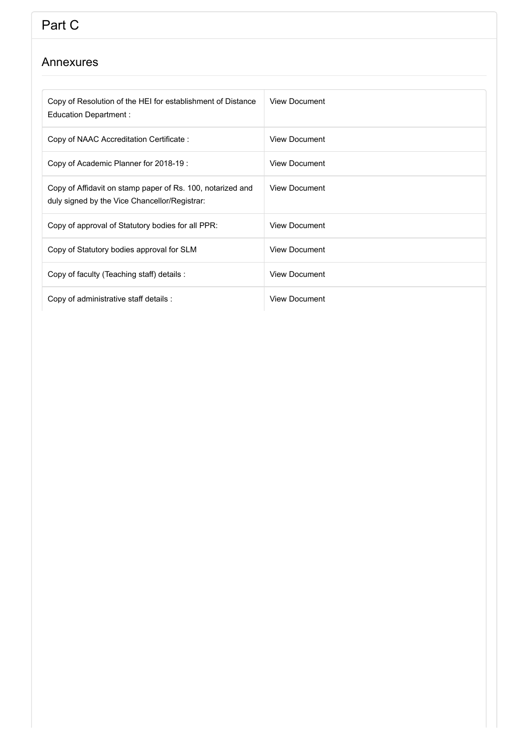# Part C

#### Annexures

| Copy of Resolution of the HEI for establishment of Distance<br>Education Department :                       | <b>View Document</b> |
|-------------------------------------------------------------------------------------------------------------|----------------------|
| Copy of NAAC Accreditation Certificate:                                                                     | <b>View Document</b> |
| Copy of Academic Planner for 2018-19 :                                                                      | <b>View Document</b> |
| Copy of Affidavit on stamp paper of Rs. 100, notarized and<br>duly signed by the Vice Chancellor/Registrar: | <b>View Document</b> |
| Copy of approval of Statutory bodies for all PPR:                                                           | <b>View Document</b> |
| Copy of Statutory bodies approval for SLM                                                                   | <b>View Document</b> |
| Copy of faculty (Teaching staff) details :                                                                  | <b>View Document</b> |
| Copy of administrative staff details :                                                                      | <b>View Document</b> |